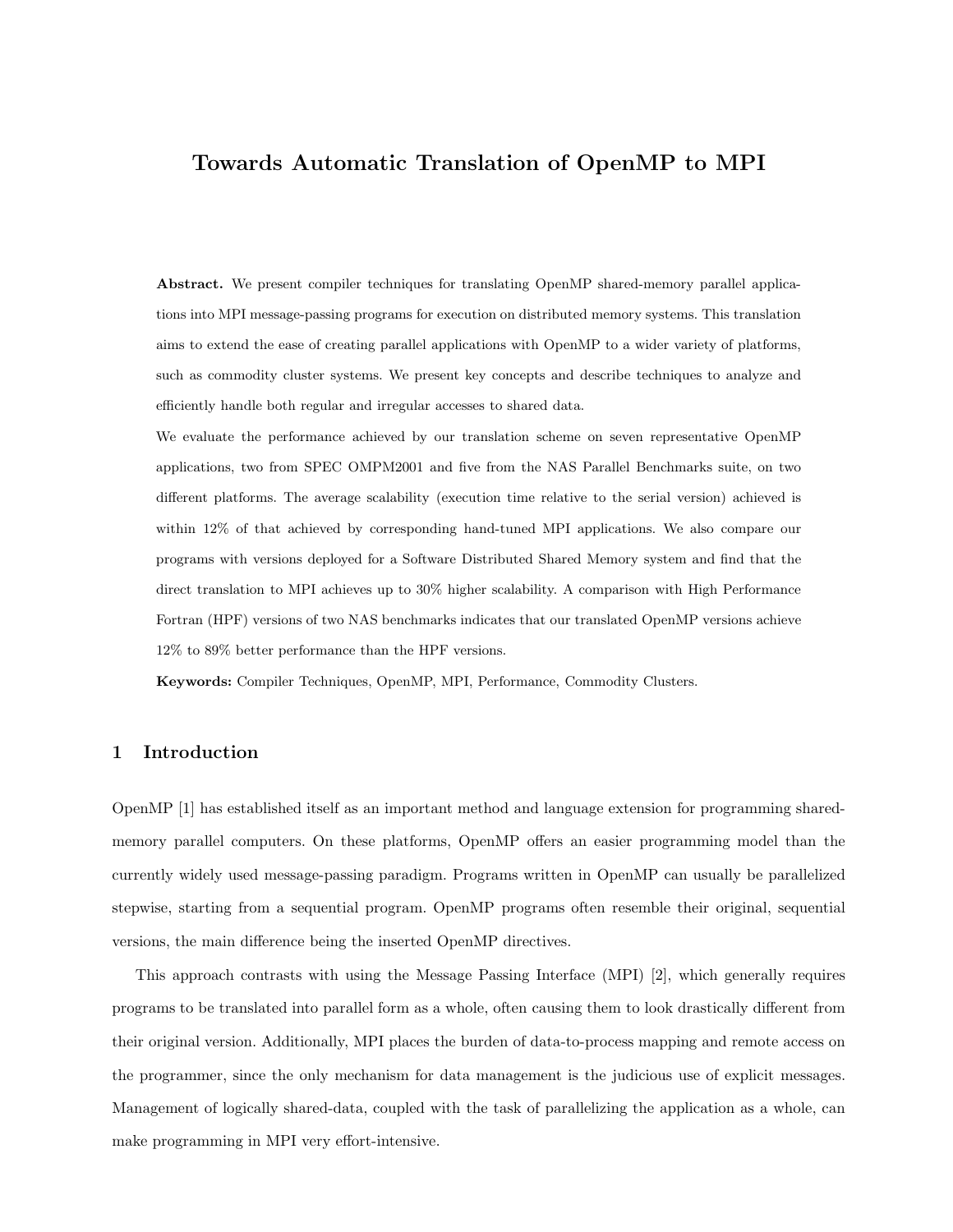# Towards Automatic Translation of OpenMP to MPI

Abstract. We present compiler techniques for translating OpenMP shared-memory parallel applications into MPI message-passing programs for execution on distributed memory systems. This translation aims to extend the ease of creating parallel applications with OpenMP to a wider variety of platforms, such as commodity cluster systems. We present key concepts and describe techniques to analyze and efficiently handle both regular and irregular accesses to shared data.

We evaluate the performance achieved by our translation scheme on seven representative OpenMP applications, two from SPEC OMPM2001 and five from the NAS Parallel Benchmarks suite, on two different platforms. The average scalability (execution time relative to the serial version) achieved is within 12% of that achieved by corresponding hand-tuned MPI applications. We also compare our programs with versions deployed for a Software Distributed Shared Memory system and find that the direct translation to MPI achieves up to 30% higher scalability. A comparison with High Performance Fortran (HPF) versions of two NAS benchmarks indicates that our translated OpenMP versions achieve 12% to 89% better performance than the HPF versions.

Keywords: Compiler Techniques, OpenMP, MPI, Performance, Commodity Clusters.

## 1 Introduction

OpenMP [1] has established itself as an important method and language extension for programming sharedmemory parallel computers. On these platforms, OpenMP offers an easier programming model than the currently widely used message-passing paradigm. Programs written in OpenMP can usually be parallelized stepwise, starting from a sequential program. OpenMP programs often resemble their original, sequential versions, the main difference being the inserted OpenMP directives.

This approach contrasts with using the Message Passing Interface (MPI) [2], which generally requires programs to be translated into parallel form as a whole, often causing them to look drastically different from their original version. Additionally, MPI places the burden of data-to-process mapping and remote access on the programmer, since the only mechanism for data management is the judicious use of explicit messages. Management of logically shared-data, coupled with the task of parallelizing the application as a whole, can make programming in MPI very effort-intensive.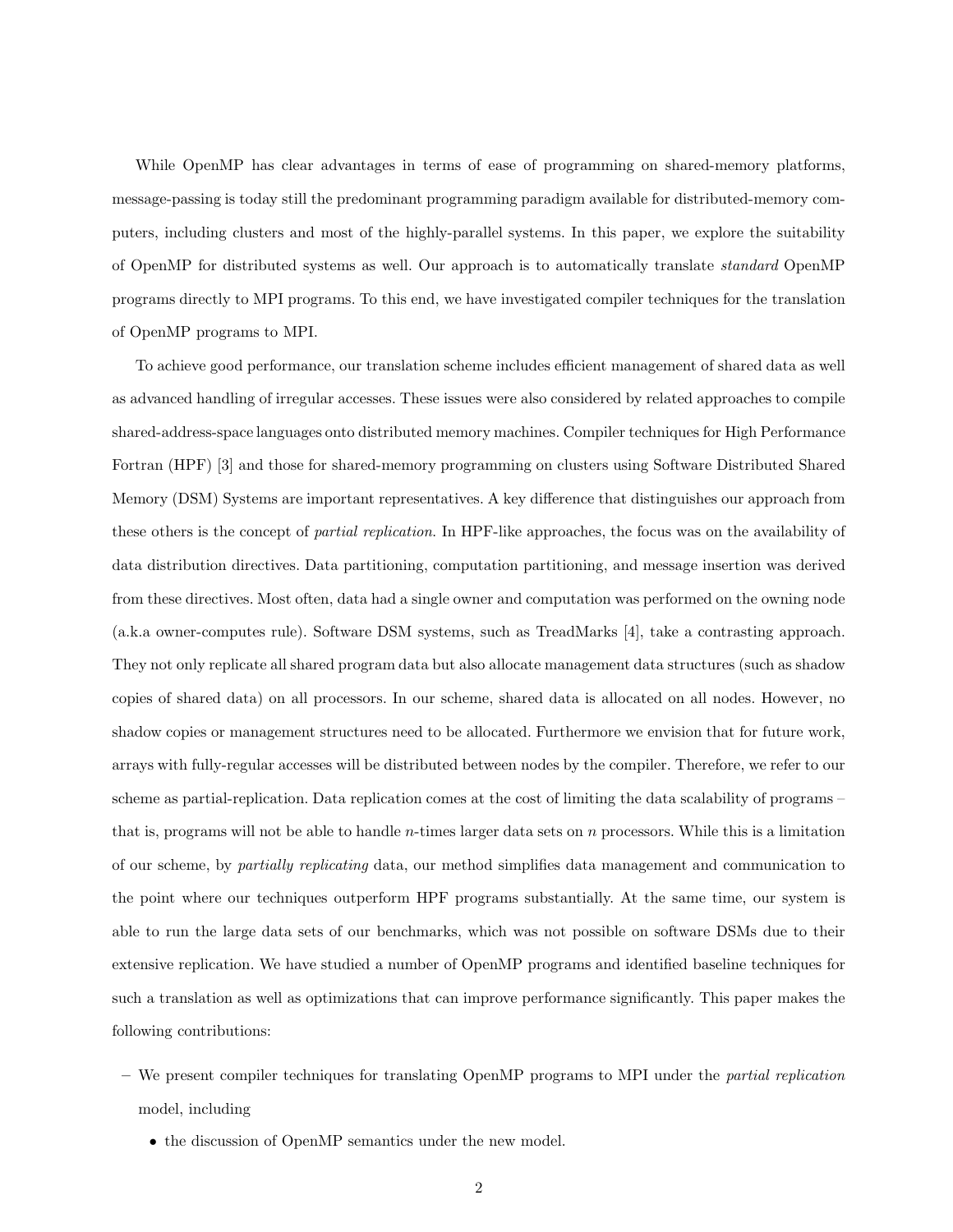While OpenMP has clear advantages in terms of ease of programming on shared-memory platforms, message-passing is today still the predominant programming paradigm available for distributed-memory computers, including clusters and most of the highly-parallel systems. In this paper, we explore the suitability of OpenMP for distributed systems as well. Our approach is to automatically translate standard OpenMP programs directly to MPI programs. To this end, we have investigated compiler techniques for the translation of OpenMP programs to MPI.

To achieve good performance, our translation scheme includes efficient management of shared data as well as advanced handling of irregular accesses. These issues were also considered by related approaches to compile shared-address-space languages onto distributed memory machines. Compiler techniques for High Performance Fortran (HPF) [3] and those for shared-memory programming on clusters using Software Distributed Shared Memory (DSM) Systems are important representatives. A key difference that distinguishes our approach from these others is the concept of partial replication. In HPF-like approaches, the focus was on the availability of data distribution directives. Data partitioning, computation partitioning, and message insertion was derived from these directives. Most often, data had a single owner and computation was performed on the owning node (a.k.a owner-computes rule). Software DSM systems, such as TreadMarks [4], take a contrasting approach. They not only replicate all shared program data but also allocate management data structures (such as shadow copies of shared data) on all processors. In our scheme, shared data is allocated on all nodes. However, no shadow copies or management structures need to be allocated. Furthermore we envision that for future work, arrays with fully-regular accesses will be distributed between nodes by the compiler. Therefore, we refer to our scheme as partial-replication. Data replication comes at the cost of limiting the data scalability of programs – that is, programs will not be able to handle *n*-times larger data sets on *n* processors. While this is a limitation of our scheme, by partially replicating data, our method simplifies data management and communication to the point where our techniques outperform HPF programs substantially. At the same time, our system is able to run the large data sets of our benchmarks, which was not possible on software DSMs due to their extensive replication. We have studied a number of OpenMP programs and identified baseline techniques for such a translation as well as optimizations that can improve performance significantly. This paper makes the following contributions:

- We present compiler techniques for translating OpenMP programs to MPI under the partial replication model, including
	- the discussion of OpenMP semantics under the new model.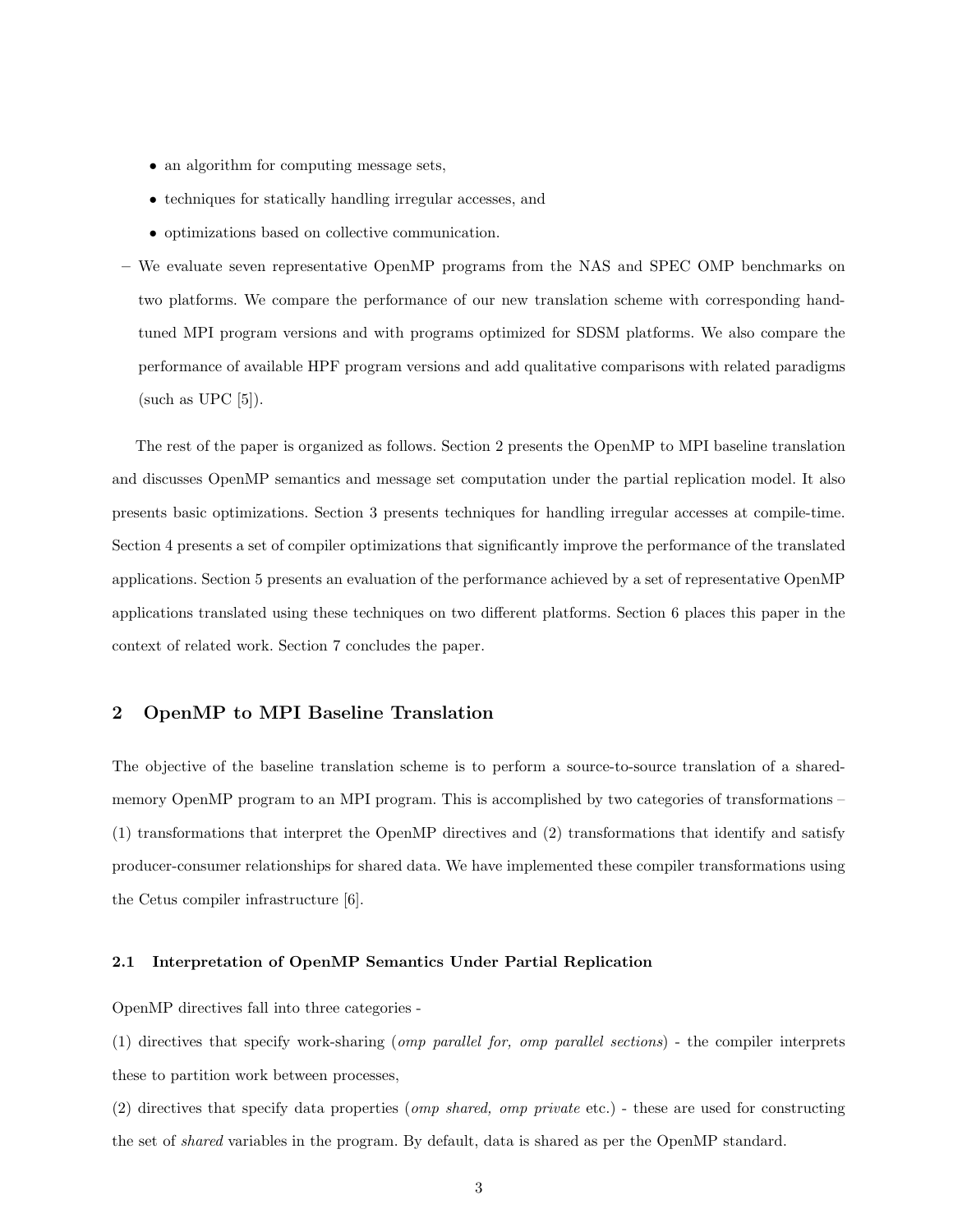- an algorithm for computing message sets,
- techniques for statically handling irregular accesses, and
- optimizations based on collective communication.
- We evaluate seven representative OpenMP programs from the NAS and SPEC OMP benchmarks on two platforms. We compare the performance of our new translation scheme with corresponding handtuned MPI program versions and with programs optimized for SDSM platforms. We also compare the performance of available HPF program versions and add qualitative comparisons with related paradigms (such as UPC  $[5]$ ).

The rest of the paper is organized as follows. Section 2 presents the OpenMP to MPI baseline translation and discusses OpenMP semantics and message set computation under the partial replication model. It also presents basic optimizations. Section 3 presents techniques for handling irregular accesses at compile-time. Section 4 presents a set of compiler optimizations that significantly improve the performance of the translated applications. Section 5 presents an evaluation of the performance achieved by a set of representative OpenMP applications translated using these techniques on two different platforms. Section 6 places this paper in the context of related work. Section 7 concludes the paper.

## 2 OpenMP to MPI Baseline Translation

The objective of the baseline translation scheme is to perform a source-to-source translation of a sharedmemory OpenMP program to an MPI program. This is accomplished by two categories of transformations – (1) transformations that interpret the OpenMP directives and (2) transformations that identify and satisfy producer-consumer relationships for shared data. We have implemented these compiler transformations using the Cetus compiler infrastructure [6].

#### 2.1 Interpretation of OpenMP Semantics Under Partial Replication

OpenMP directives fall into three categories -

(1) directives that specify work-sharing (omp parallel for, omp parallel sections) - the compiler interprets these to partition work between processes,

(2) directives that specify data properties (omp shared, omp private etc.) - these are used for constructing the set of shared variables in the program. By default, data is shared as per the OpenMP standard.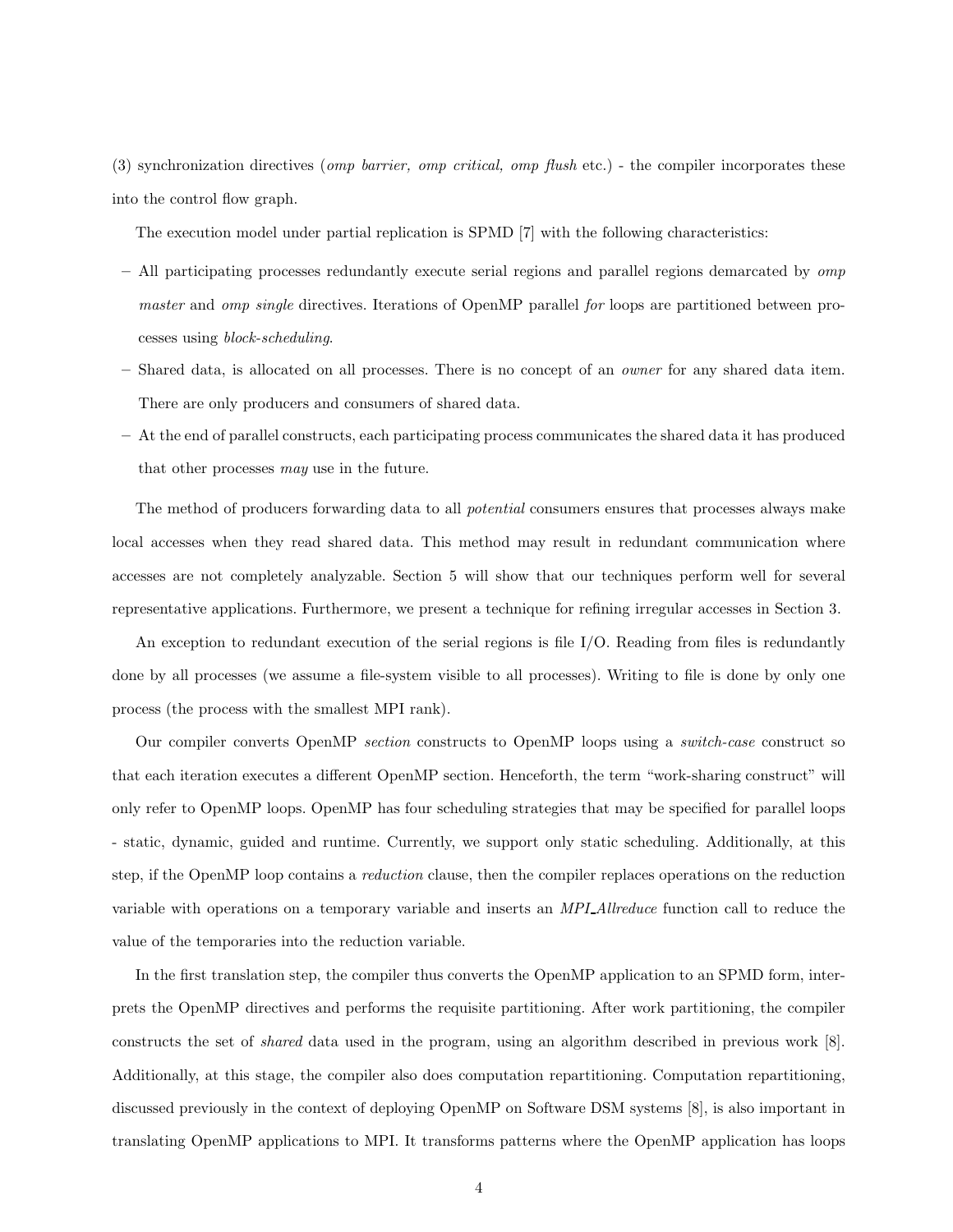(3) synchronization directives (*omp barrier, omp critical, omp flush* etc.) - the compiler incorporates these into the control flow graph.

The execution model under partial replication is SPMD [7] with the following characteristics:

- $-$  All participating processes redundantly execute serial regions and parallel regions demarcated by  $omp$ master and *omp single* directives. Iterations of OpenMP parallel for loops are partitioned between processes using block-scheduling.
- Shared data, is allocated on all processes. There is no concept of an owner for any shared data item. There are only producers and consumers of shared data.
- At the end of parallel constructs, each participating process communicates the shared data it has produced that other processes may use in the future.

The method of producers forwarding data to all potential consumers ensures that processes always make local accesses when they read shared data. This method may result in redundant communication where accesses are not completely analyzable. Section 5 will show that our techniques perform well for several representative applications. Furthermore, we present a technique for refining irregular accesses in Section 3.

An exception to redundant execution of the serial regions is file I/O. Reading from files is redundantly done by all processes (we assume a file-system visible to all processes). Writing to file is done by only one process (the process with the smallest MPI rank).

Our compiler converts OpenMP section constructs to OpenMP loops using a switch-case construct so that each iteration executes a different OpenMP section. Henceforth, the term "work-sharing construct" will only refer to OpenMP loops. OpenMP has four scheduling strategies that may be specified for parallel loops - static, dynamic, guided and runtime. Currently, we support only static scheduling. Additionally, at this step, if the OpenMP loop contains a reduction clause, then the compiler replaces operations on the reduction variable with operations on a temporary variable and inserts an *MPI\_Allreduce* function call to reduce the value of the temporaries into the reduction variable.

In the first translation step, the compiler thus converts the OpenMP application to an SPMD form, interprets the OpenMP directives and performs the requisite partitioning. After work partitioning, the compiler constructs the set of shared data used in the program, using an algorithm described in previous work [8]. Additionally, at this stage, the compiler also does computation repartitioning. Computation repartitioning, discussed previously in the context of deploying OpenMP on Software DSM systems [8], is also important in translating OpenMP applications to MPI. It transforms patterns where the OpenMP application has loops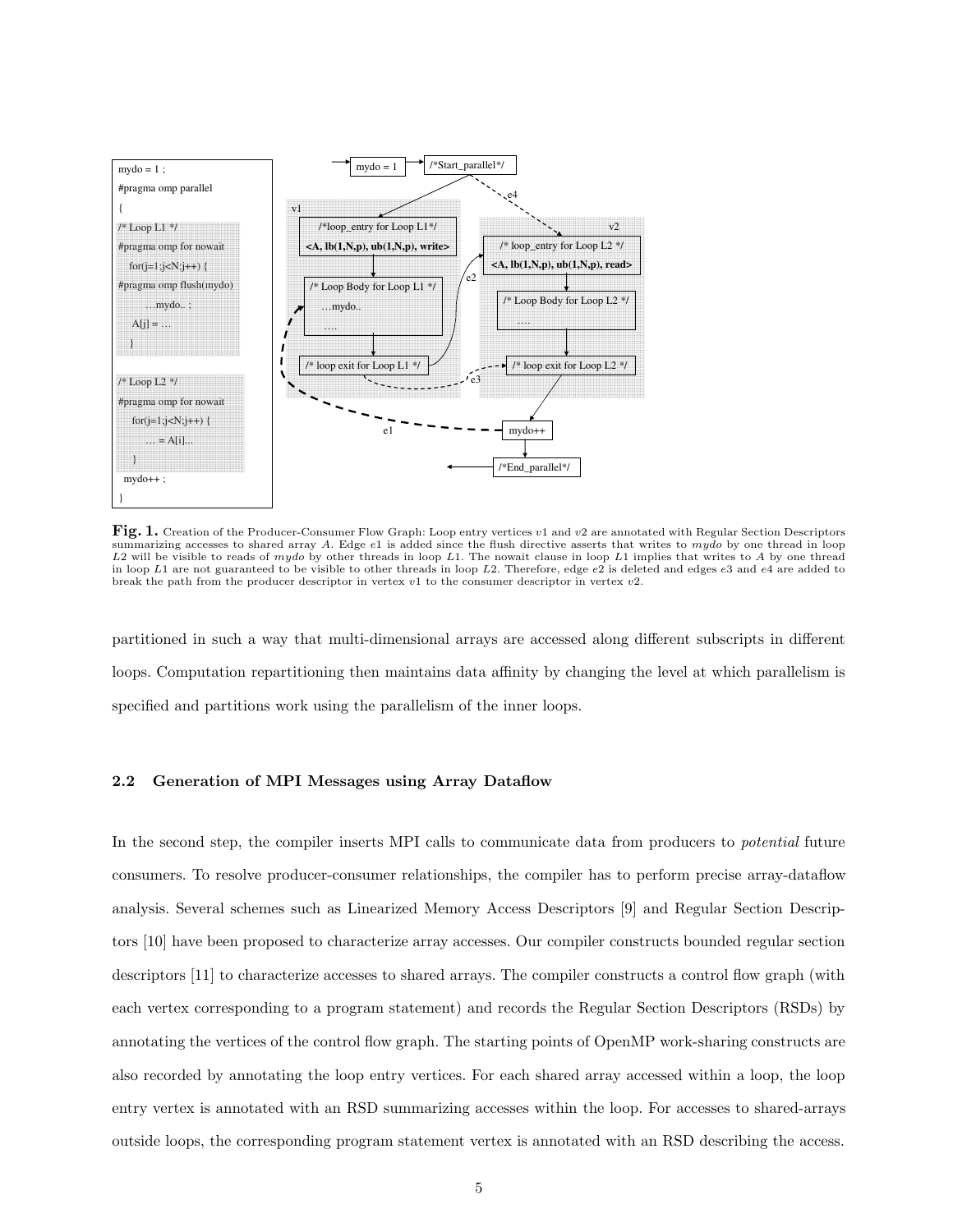

Fig. 1. Creation of the Producer-Consumer Flow Graph: Loop entry vertices v1 and v2 are annotated with Regular Section Descriptors summarizing accesses to shared array A. Edge e1 is added since the flush directive asserts that writes to mydo by one thread in loop  $L2$  will be visible to reads of mydo by other threads in loop  $L1$ . The nowait clause in loop  $L1$  implies that writes to  $A$  by one thread in loop  $L1$  are not guaranteed to be visible to other threads in loop  $L2$ . Therefore, edge  $e2$  is deleted and edges  $e3$  and  $e4$  are added to break the path from the producer descriptor in vertex  $v1$  to the consumer descriptor in vertex  $v2$ .

partitioned in such a way that multi-dimensional arrays are accessed along different subscripts in different loops. Computation repartitioning then maintains data affinity by changing the level at which parallelism is specified and partitions work using the parallelism of the inner loops.

#### 2.2 Generation of MPI Messages using Array Dataflow

In the second step, the compiler inserts MPI calls to communicate data from producers to potential future consumers. To resolve producer-consumer relationships, the compiler has to perform precise array-dataflow analysis. Several schemes such as Linearized Memory Access Descriptors [9] and Regular Section Descriptors [10] have been proposed to characterize array accesses. Our compiler constructs bounded regular section descriptors [11] to characterize accesses to shared arrays. The compiler constructs a control flow graph (with each vertex corresponding to a program statement) and records the Regular Section Descriptors (RSDs) by annotating the vertices of the control flow graph. The starting points of OpenMP work-sharing constructs are also recorded by annotating the loop entry vertices. For each shared array accessed within a loop, the loop entry vertex is annotated with an RSD summarizing accesses within the loop. For accesses to shared-arrays outside loops, the corresponding program statement vertex is annotated with an RSD describing the access.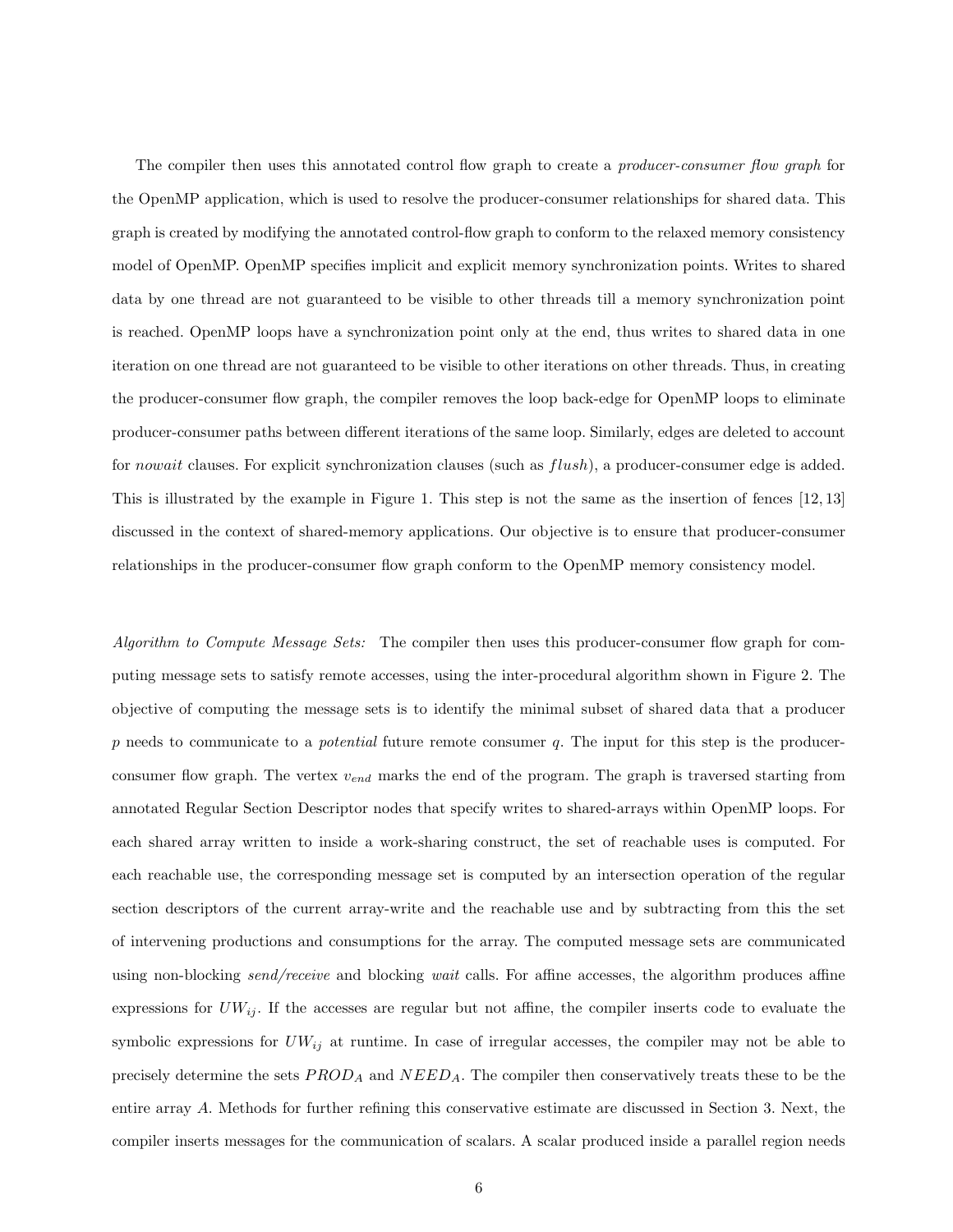The compiler then uses this annotated control flow graph to create a *producer-consumer flow graph* for the OpenMP application, which is used to resolve the producer-consumer relationships for shared data. This graph is created by modifying the annotated control-flow graph to conform to the relaxed memory consistency model of OpenMP. OpenMP specifies implicit and explicit memory synchronization points. Writes to shared data by one thread are not guaranteed to be visible to other threads till a memory synchronization point is reached. OpenMP loops have a synchronization point only at the end, thus writes to shared data in one iteration on one thread are not guaranteed to be visible to other iterations on other threads. Thus, in creating the producer-consumer flow graph, the compiler removes the loop back-edge for OpenMP loops to eliminate producer-consumer paths between different iterations of the same loop. Similarly, edges are deleted to account for *nowait* clauses. For explicit synchronization clauses (such as  $flush$ ), a producer-consumer edge is added. This is illustrated by the example in Figure 1. This step is not the same as the insertion of fences [12, 13] discussed in the context of shared-memory applications. Our objective is to ensure that producer-consumer relationships in the producer-consumer flow graph conform to the OpenMP memory consistency model.

Algorithm to Compute Message Sets: The compiler then uses this producer-consumer flow graph for computing message sets to satisfy remote accesses, using the inter-procedural algorithm shown in Figure 2. The objective of computing the message sets is to identify the minimal subset of shared data that a producer p needs to communicate to a potential future remote consumer q. The input for this step is the producerconsumer flow graph. The vertex  $v_{end}$  marks the end of the program. The graph is traversed starting from annotated Regular Section Descriptor nodes that specify writes to shared-arrays within OpenMP loops. For each shared array written to inside a work-sharing construct, the set of reachable uses is computed. For each reachable use, the corresponding message set is computed by an intersection operation of the regular section descriptors of the current array-write and the reachable use and by subtracting from this the set of intervening productions and consumptions for the array. The computed message sets are communicated using non-blocking send/receive and blocking wait calls. For affine accesses, the algorithm produces affine expressions for  $UW_{ij}$ . If the accesses are regular but not affine, the compiler inserts code to evaluate the symbolic expressions for  $UW_{ij}$  at runtime. In case of irregular accesses, the compiler may not be able to precisely determine the sets  $PROD_A$  and  $NEED_A$ . The compiler then conservatively treats these to be the entire array A. Methods for further refining this conservative estimate are discussed in Section 3. Next, the compiler inserts messages for the communication of scalars. A scalar produced inside a parallel region needs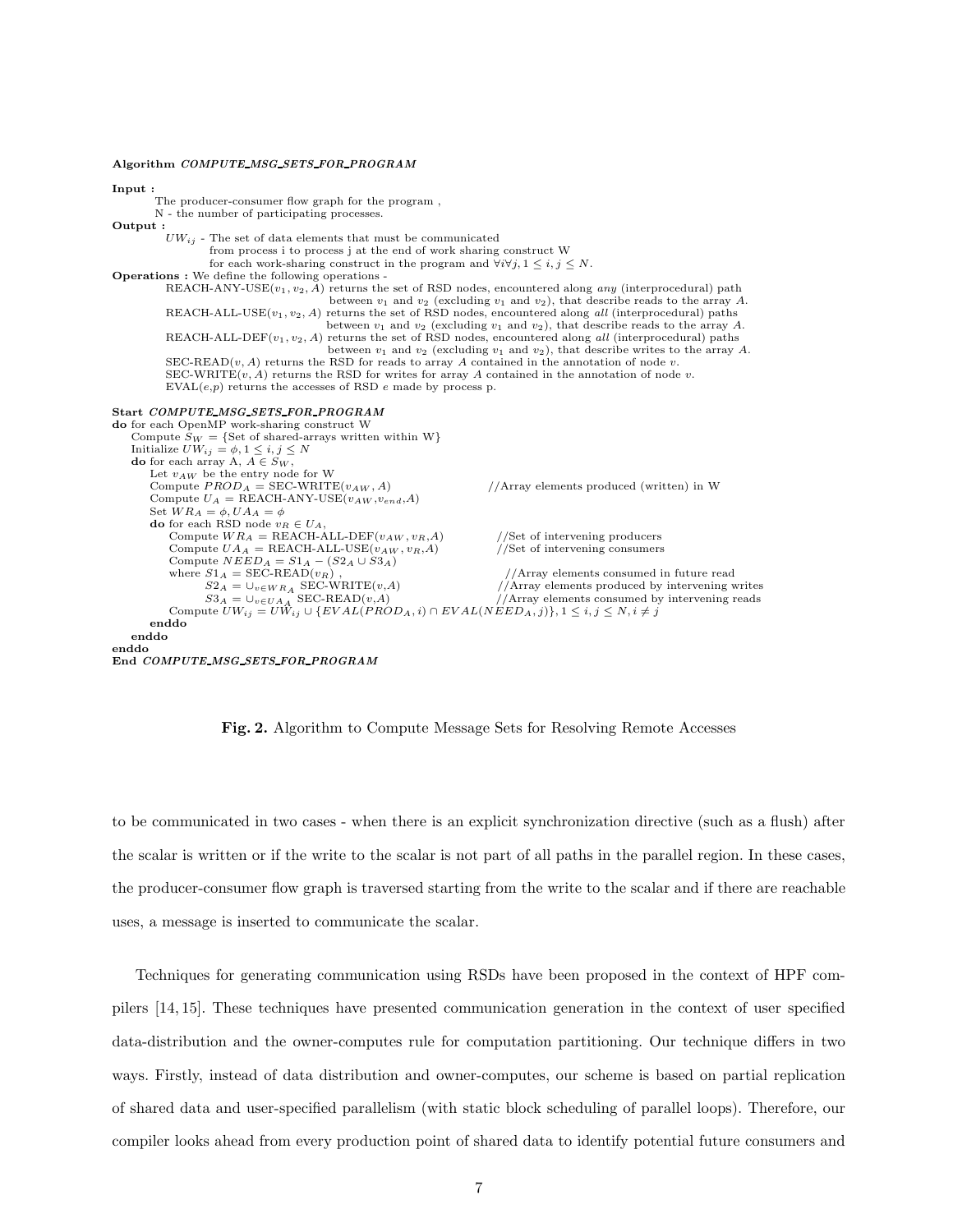Algorithm COMPUTE MSG SETS FOR PROGRAM

Input : The producer-consumer flow graph for the program , N - the number of participating processes. Output :  $\boldsymbol{U}\boldsymbol{W}_{ij}$  - The set of data elements that must be communicated from process i to process j at the end of work sharing construct W for each work-sharing construct in the program and  $\forall i \forall j, 1 \leq i, j \leq N$ . Operations : We define the following operations - REACH-ANY-USE $(v_1, v_2, \tilde{A})$  returns the set of RSD nodes, encountered along any (interprocedural) path between  $v_1$  and  $v_2$  (excluding  $v_1$  and  $v_2$ ), that describe reads to the array A. REACH-ALL-USE( $v_1, v_2, A$ ) returns the set of RSD nodes, encountered along all (interprocedural) paths between  $v_1$  and  $v_2$  (excluding  $v_1$  and  $v_2$ ), that describe reads to the array A. REACH-ALL-DEF( $v_1, v_2, A$ ) returns the set of RSD nodes, encountered along all (interprocedural) paths between  $v_1$  and  $v_2$  (excluding  $v_1$  and  $v_2$ ), that describe writes to the array A. SEC-READ $(v, A)$  returns the RSD for reads to array A contained in the annotation of node v. SEC-WRITE $(v, A)$  returns the RSD for writes for array A contained in the annotation of node v.  $EVAL(e,p)$  returns the accesses of RSD  $e$  made by process p. Start COMPUTE MSG SETS FOR PROGRAM do for each OpenMP work-sharing construct W Compute  $S_W = \{ \text{Set of shared-arrays written within W} \}$ <br>Initialize  $U W_{ij} = \phi, 1 \le i, j \le N$ do for each array A,  $A \in S_W$ , Let  $v_{AW}$  be the entry node for W<br>Compute  $PROD_A = \text{SEC-WRITE}(v_{AW}, A)$  $//Array$  elements produced (written) in W Compute  $U_A = \text{REACH-ANY-USE}(v_{AW}, v_{end}, A)$ Set  $\overline{W}R_A = \phi$ ,  $U A_A = \phi$ do for each RSD node  $v_R \in U_A$ , Compute  $WR_A = \overrightarrow{REACH-ALL-DEF}(v_{AW}, v_{R}, A)$  //Set of intervening producers<br>Compute  $UAA = REACH-ALL-USE(v_{AW}, v_{R}, A)$  //Set of intervening consumers Compute  $U A_A = \text{REACH-ALL-USE}(v_{AW}, v_R, A)$ Compute  $NEED_A = S1_A - (S2_A \cup S3_A)$ where  $S1_A = \text{SEC-READ}(v_R)$ , //Array elements consumed in future read<br>  $S2_A = \cup_{v \in WR_A} \text{SEC-WRITE}(v, A)$  //Array elements produced by intervening v //Array elements produced by intervening writes<br>//Array elements consumed by intervening reads  $SS_A = \bigcup_{v \in U_A} \text{SEC-READ}(v, A)$  //Array elements consumed by intervening reads Compute  $UW_{ij} = UW_{ij} \cup \{EVAL(PROD_A, i) \cap EVAL(NEED_A, j)\}, 1 \leq i, j \leq N, i \neq j$ enddo enddo enddo End COMPUTE MSG SETS FOR PROGRAM

Fig. 2. Algorithm to Compute Message Sets for Resolving Remote Accesses

to be communicated in two cases - when there is an explicit synchronization directive (such as a flush) after the scalar is written or if the write to the scalar is not part of all paths in the parallel region. In these cases, the producer-consumer flow graph is traversed starting from the write to the scalar and if there are reachable uses, a message is inserted to communicate the scalar.

Techniques for generating communication using RSDs have been proposed in the context of HPF compilers [14, 15]. These techniques have presented communication generation in the context of user specified data-distribution and the owner-computes rule for computation partitioning. Our technique differs in two ways. Firstly, instead of data distribution and owner-computes, our scheme is based on partial replication of shared data and user-specified parallelism (with static block scheduling of parallel loops). Therefore, our compiler looks ahead from every production point of shared data to identify potential future consumers and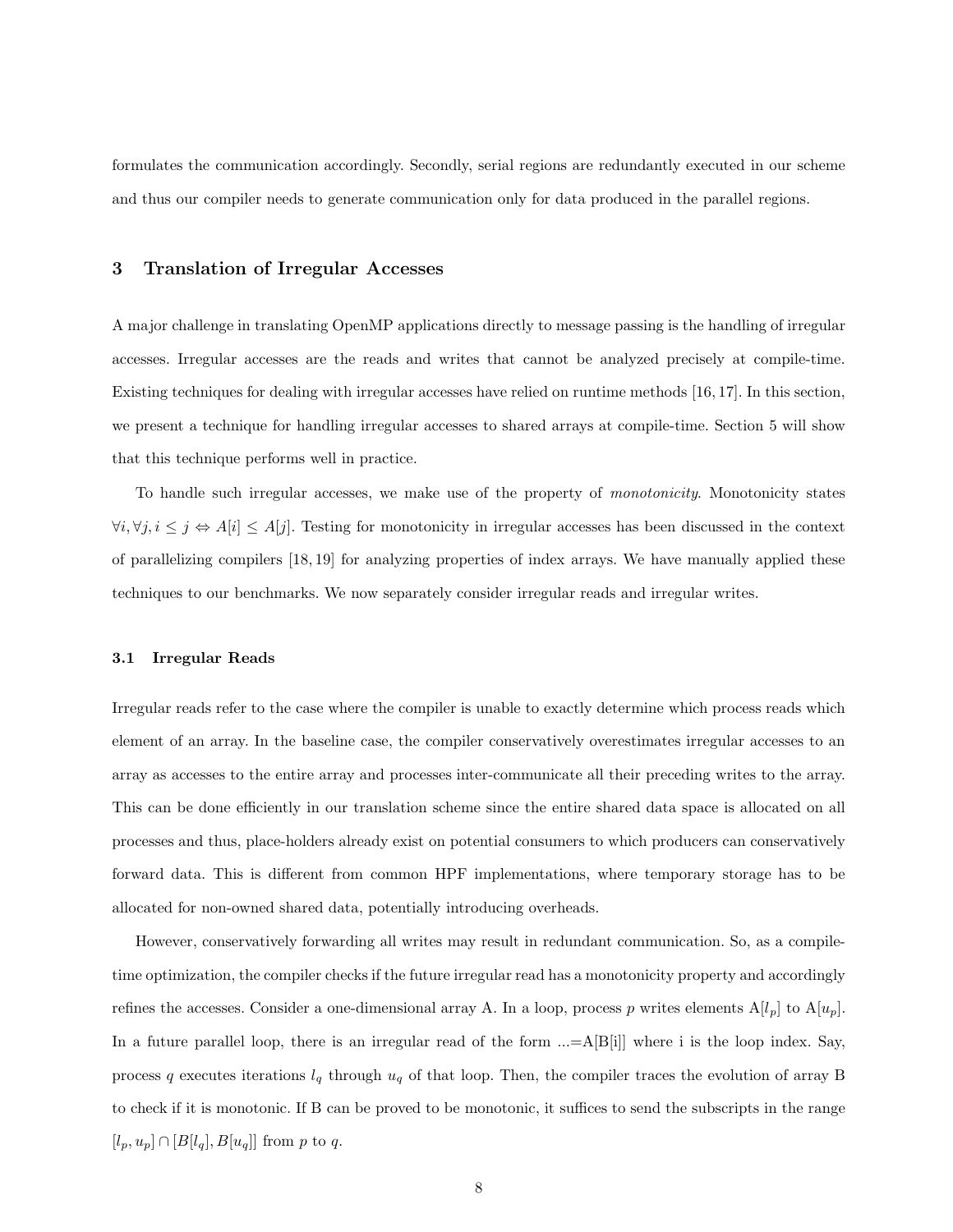formulates the communication accordingly. Secondly, serial regions are redundantly executed in our scheme and thus our compiler needs to generate communication only for data produced in the parallel regions.

## 3 Translation of Irregular Accesses

A major challenge in translating OpenMP applications directly to message passing is the handling of irregular accesses. Irregular accesses are the reads and writes that cannot be analyzed precisely at compile-time. Existing techniques for dealing with irregular accesses have relied on runtime methods [16, 17]. In this section, we present a technique for handling irregular accesses to shared arrays at compile-time. Section 5 will show that this technique performs well in practice.

To handle such irregular accesses, we make use of the property of monotonicity. Monotonicity states  $\forall i, \forall j, i \leq j \Leftrightarrow A[i] \leq A[j]$ . Testing for monotonicity in irregular accesses has been discussed in the context of parallelizing compilers [18, 19] for analyzing properties of index arrays. We have manually applied these techniques to our benchmarks. We now separately consider irregular reads and irregular writes.

#### 3.1 Irregular Reads

Irregular reads refer to the case where the compiler is unable to exactly determine which process reads which element of an array. In the baseline case, the compiler conservatively overestimates irregular accesses to an array as accesses to the entire array and processes inter-communicate all their preceding writes to the array. This can be done efficiently in our translation scheme since the entire shared data space is allocated on all processes and thus, place-holders already exist on potential consumers to which producers can conservatively forward data. This is different from common HPF implementations, where temporary storage has to be allocated for non-owned shared data, potentially introducing overheads.

However, conservatively forwarding all writes may result in redundant communication. So, as a compiletime optimization, the compiler checks if the future irregular read has a monotonicity property and accordingly refines the accesses. Consider a one-dimensional array A. In a loop, process p writes elements  $A[l_p]$  to  $A[u_p]$ . In a future parallel loop, there is an irregular read of the form ...=A[B[i]] where i is the loop index. Say, process q executes iterations  $l_q$  through  $u_q$  of that loop. Then, the compiler traces the evolution of array B to check if it is monotonic. If B can be proved to be monotonic, it suffices to send the subscripts in the range  $[l_p, u_p] \cap [B[l_q], B[u_q]]$  from p to q.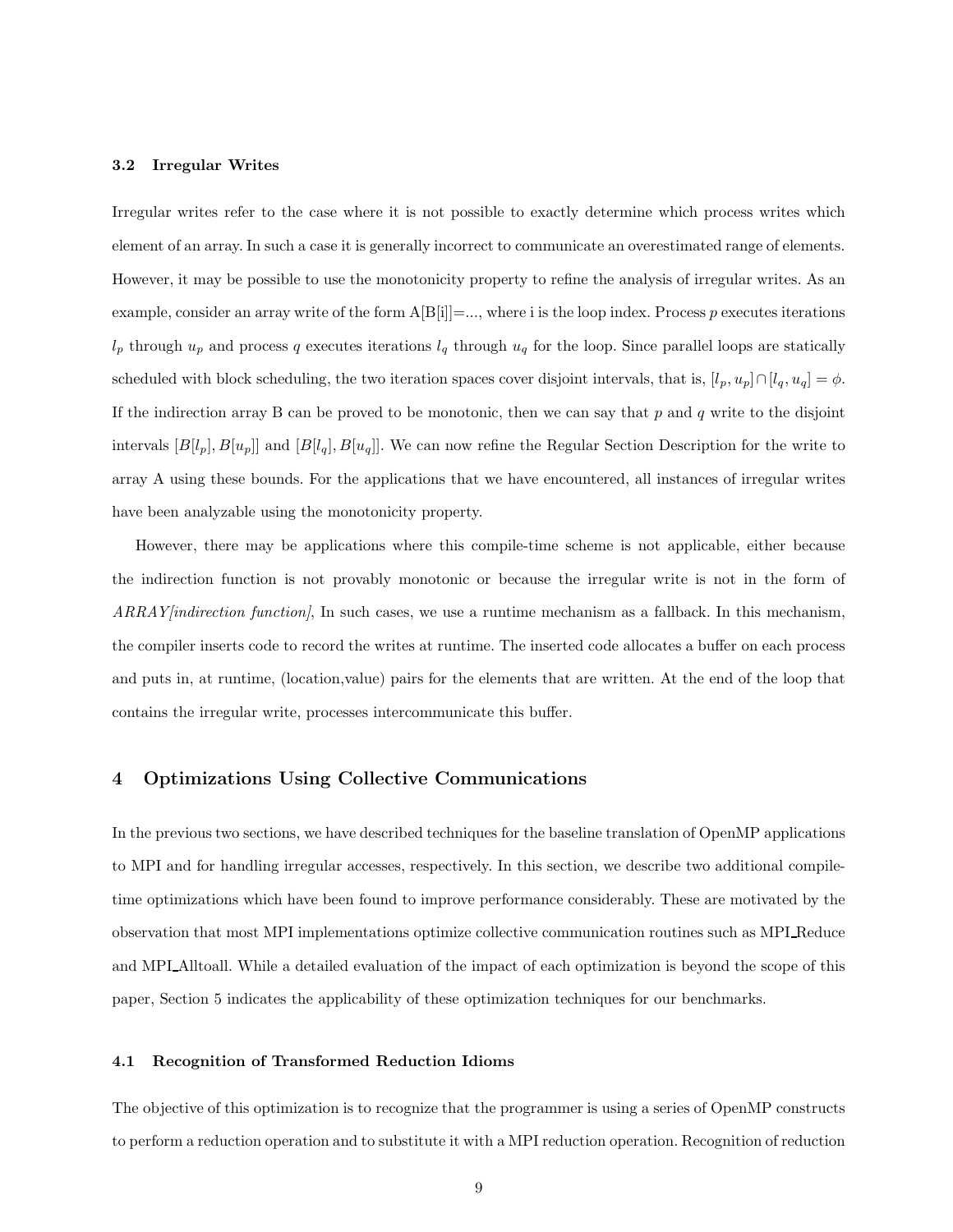#### 3.2 Irregular Writes

Irregular writes refer to the case where it is not possible to exactly determine which process writes which element of an array. In such a case it is generally incorrect to communicate an overestimated range of elements. However, it may be possible to use the monotonicity property to refine the analysis of irregular writes. As an example, consider an array write of the form  $A[B[i]] = ...$ , where i is the loop index. Process p executes iterations  $l_p$  through  $u_p$  and process q executes iterations  $l_q$  through  $u_q$  for the loop. Since parallel loops are statically scheduled with block scheduling, the two iteration spaces cover disjoint intervals, that is,  $[l_p, u_p] \cap [l_q, u_q] = \phi$ . If the indirection array B can be proved to be monotonic, then we can say that  $p$  and  $q$  write to the disjoint intervals  $[B[l_p], B[u_p]]$  and  $[B[l_q], B[u_q]]$ . We can now refine the Regular Section Description for the write to array A using these bounds. For the applications that we have encountered, all instances of irregular writes have been analyzable using the monotonicity property.

However, there may be applications where this compile-time scheme is not applicable, either because the indirection function is not provably monotonic or because the irregular write is not in the form of  $ARRAY/indirection$  function, In such cases, we use a runtime mechanism as a fallback. In this mechanism, the compiler inserts code to record the writes at runtime. The inserted code allocates a buffer on each process and puts in, at runtime, (location,value) pairs for the elements that are written. At the end of the loop that contains the irregular write, processes intercommunicate this buffer.

## 4 Optimizations Using Collective Communications

In the previous two sections, we have described techniques for the baseline translation of OpenMP applications to MPI and for handling irregular accesses, respectively. In this section, we describe two additional compiletime optimizations which have been found to improve performance considerably. These are motivated by the observation that most MPI implementations optimize collective communication routines such as MPI Reduce and MPI Alltoall. While a detailed evaluation of the impact of each optimization is beyond the scope of this paper, Section 5 indicates the applicability of these optimization techniques for our benchmarks.

### 4.1 Recognition of Transformed Reduction Idioms

The objective of this optimization is to recognize that the programmer is using a series of OpenMP constructs to perform a reduction operation and to substitute it with a MPI reduction operation. Recognition of reduction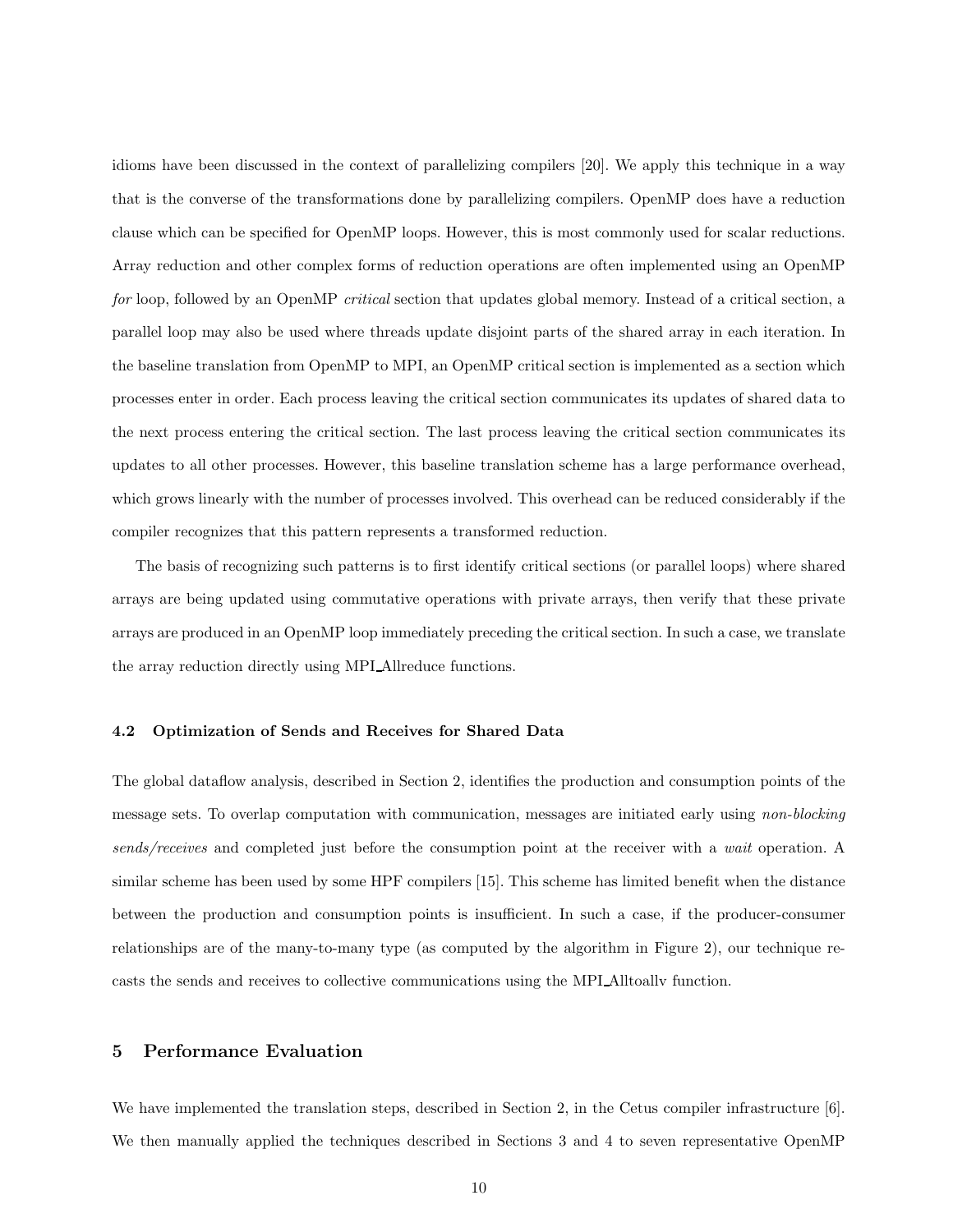idioms have been discussed in the context of parallelizing compilers [20]. We apply this technique in a way that is the converse of the transformations done by parallelizing compilers. OpenMP does have a reduction clause which can be specified for OpenMP loops. However, this is most commonly used for scalar reductions. Array reduction and other complex forms of reduction operations are often implemented using an OpenMP for loop, followed by an OpenMP *critical* section that updates global memory. Instead of a critical section, a parallel loop may also be used where threads update disjoint parts of the shared array in each iteration. In the baseline translation from OpenMP to MPI, an OpenMP critical section is implemented as a section which processes enter in order. Each process leaving the critical section communicates its updates of shared data to the next process entering the critical section. The last process leaving the critical section communicates its updates to all other processes. However, this baseline translation scheme has a large performance overhead, which grows linearly with the number of processes involved. This overhead can be reduced considerably if the compiler recognizes that this pattern represents a transformed reduction.

The basis of recognizing such patterns is to first identify critical sections (or parallel loops) where shared arrays are being updated using commutative operations with private arrays, then verify that these private arrays are produced in an OpenMP loop immediately preceding the critical section. In such a case, we translate the array reduction directly using MPI Allreduce functions.

#### 4.2 Optimization of Sends and Receives for Shared Data

The global dataflow analysis, described in Section 2, identifies the production and consumption points of the message sets. To overlap computation with communication, messages are initiated early using non-blocking sends/receives and completed just before the consumption point at the receiver with a wait operation. A similar scheme has been used by some HPF compilers [15]. This scheme has limited benefit when the distance between the production and consumption points is insufficient. In such a case, if the producer-consumer relationships are of the many-to-many type (as computed by the algorithm in Figure 2), our technique recasts the sends and receives to collective communications using the MPI Alltoallv function.

## 5 Performance Evaluation

We have implemented the translation steps, described in Section 2, in the Cetus compiler infrastructure [6]. We then manually applied the techniques described in Sections 3 and 4 to seven representative OpenMP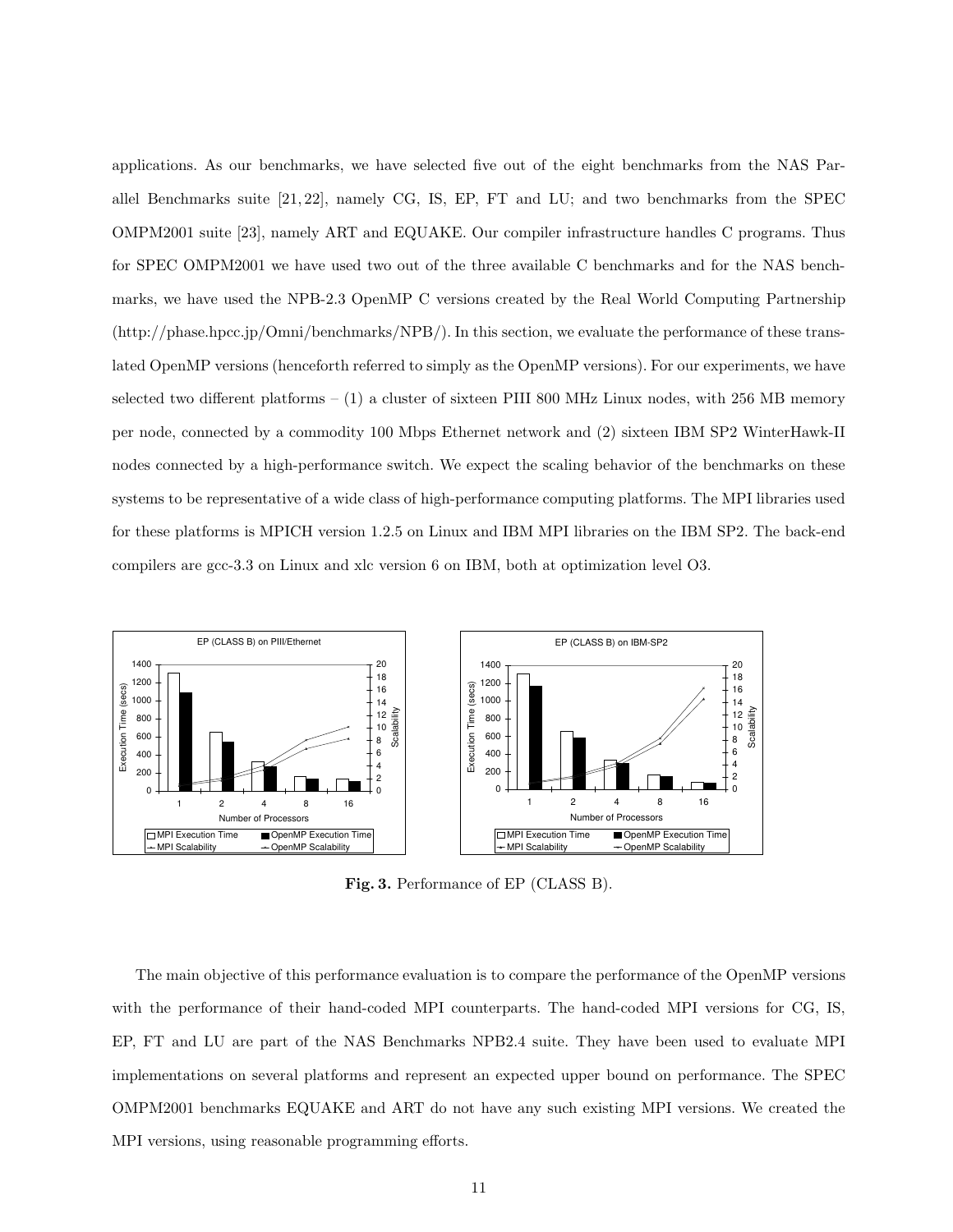applications. As our benchmarks, we have selected five out of the eight benchmarks from the NAS Parallel Benchmarks suite [21, 22], namely CG, IS, EP, FT and LU; and two benchmarks from the SPEC OMPM2001 suite [23], namely ART and EQUAKE. Our compiler infrastructure handles C programs. Thus for SPEC OMPM2001 we have used two out of the three available C benchmarks and for the NAS benchmarks, we have used the NPB-2.3 OpenMP C versions created by the Real World Computing Partnership (http://phase.hpcc.jp/Omni/benchmarks/NPB/). In this section, we evaluate the performance of these translated OpenMP versions (henceforth referred to simply as the OpenMP versions). For our experiments, we have selected two different platforms  $- (1)$  a cluster of sixteen PIII 800 MHz Linux nodes, with 256 MB memory per node, connected by a commodity 100 Mbps Ethernet network and (2) sixteen IBM SP2 WinterHawk-II nodes connected by a high-performance switch. We expect the scaling behavior of the benchmarks on these systems to be representative of a wide class of high-performance computing platforms. The MPI libraries used for these platforms is MPICH version 1.2.5 on Linux and IBM MPI libraries on the IBM SP2. The back-end compilers are gcc-3.3 on Linux and xlc version 6 on IBM, both at optimization level O3.



Fig. 3. Performance of EP (CLASS B).

The main objective of this performance evaluation is to compare the performance of the OpenMP versions with the performance of their hand-coded MPI counterparts. The hand-coded MPI versions for CG, IS, EP, FT and LU are part of the NAS Benchmarks NPB2.4 suite. They have been used to evaluate MPI implementations on several platforms and represent an expected upper bound on performance. The SPEC OMPM2001 benchmarks EQUAKE and ART do not have any such existing MPI versions. We created the MPI versions, using reasonable programming efforts.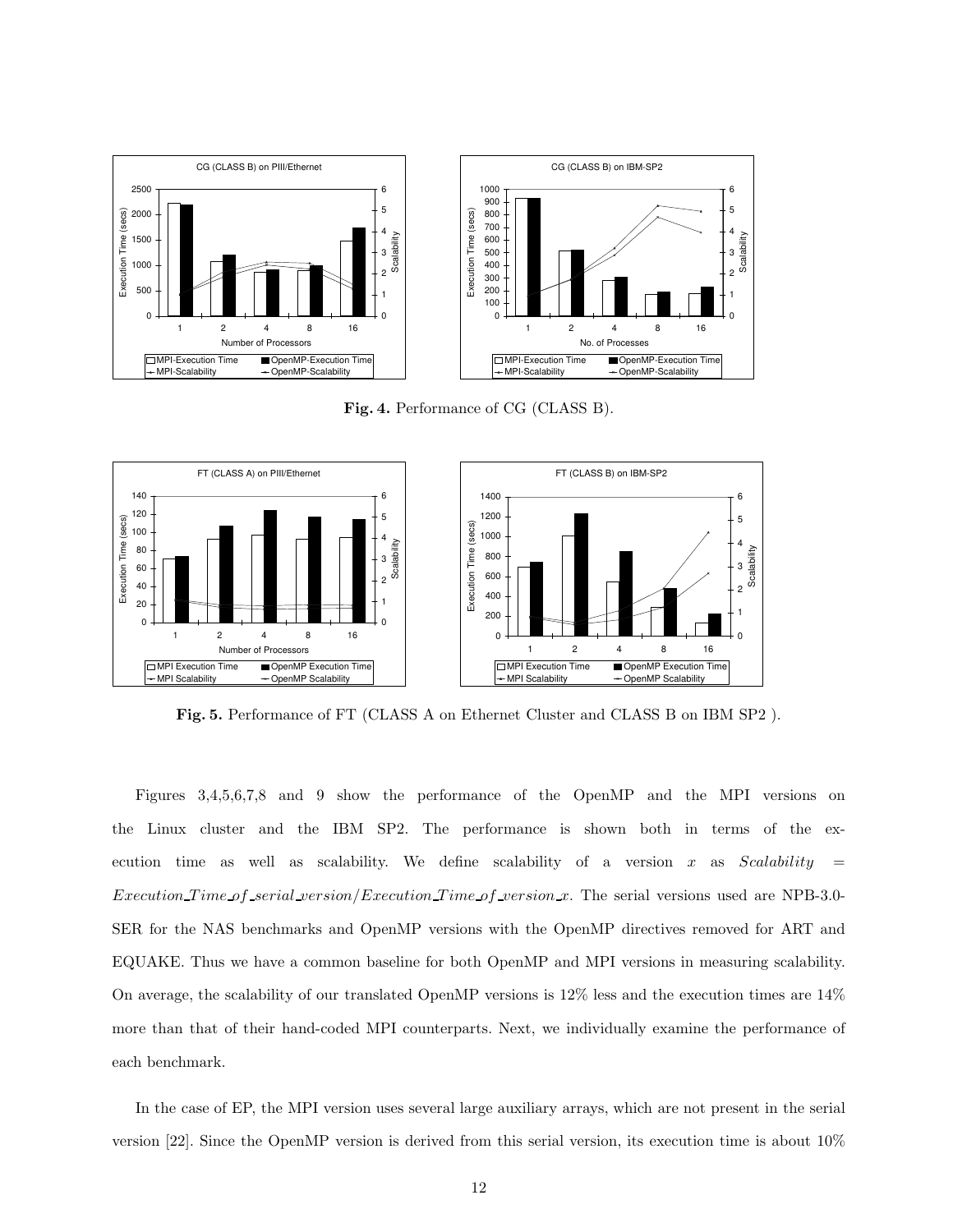

Fig. 4. Performance of CG (CLASS B).



Fig. 5. Performance of FT (CLASS A on Ethernet Cluster and CLASS B on IBM SP2 ).

Figures 3,4,5,6,7,8 and 9 show the performance of the OpenMP and the MPI versions on the Linux cluster and the IBM SP2. The performance is shown both in terms of the execution time as well as scalability. We define scalability of a version x as  $Scalability =$ Execution Time of serial version/Execution Time of version x. The serial versions used are NPB-3.0-SER for the NAS benchmarks and OpenMP versions with the OpenMP directives removed for ART and EQUAKE. Thus we have a common baseline for both OpenMP and MPI versions in measuring scalability. On average, the scalability of our translated OpenMP versions is 12% less and the execution times are 14% more than that of their hand-coded MPI counterparts. Next, we individually examine the performance of each benchmark.

In the case of EP, the MPI version uses several large auxiliary arrays, which are not present in the serial version [22]. Since the OpenMP version is derived from this serial version, its execution time is about 10%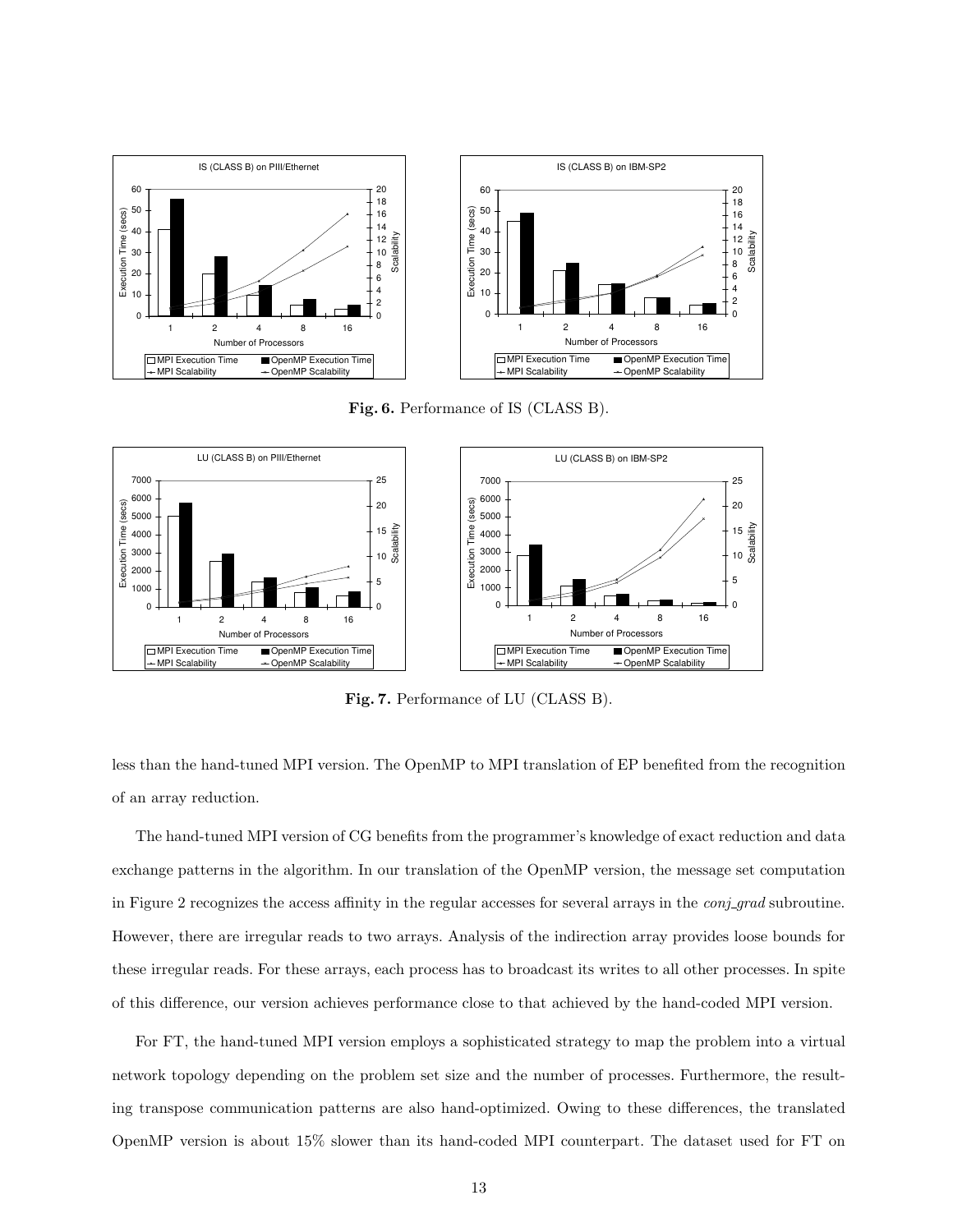

Fig. 6. Performance of IS (CLASS B).



Fig. 7. Performance of LU (CLASS B).

less than the hand-tuned MPI version. The OpenMP to MPI translation of EP benefited from the recognition of an array reduction.

The hand-tuned MPI version of CG benefits from the programmer's knowledge of exact reduction and data exchange patterns in the algorithm. In our translation of the OpenMP version, the message set computation in Figure 2 recognizes the access affinity in the regular accesses for several arrays in the *conj grad* subroutine. However, there are irregular reads to two arrays. Analysis of the indirection array provides loose bounds for these irregular reads. For these arrays, each process has to broadcast its writes to all other processes. In spite of this difference, our version achieves performance close to that achieved by the hand-coded MPI version.

For FT, the hand-tuned MPI version employs a sophisticated strategy to map the problem into a virtual network topology depending on the problem set size and the number of processes. Furthermore, the resulting transpose communication patterns are also hand-optimized. Owing to these differences, the translated OpenMP version is about 15% slower than its hand-coded MPI counterpart. The dataset used for FT on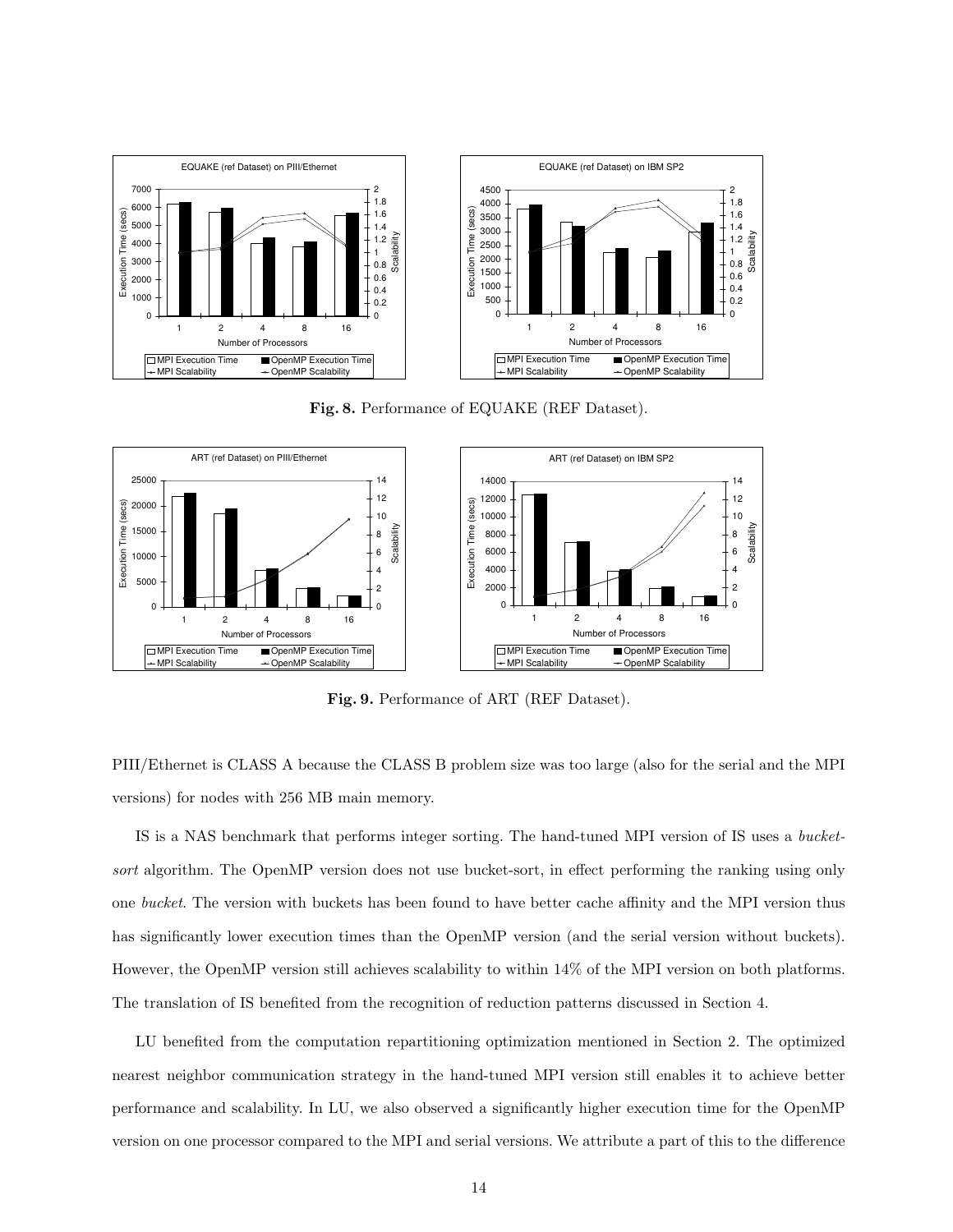

Fig. 8. Performance of EQUAKE (REF Dataset).



Fig. 9. Performance of ART (REF Dataset).

PIII/Ethernet is CLASS A because the CLASS B problem size was too large (also for the serial and the MPI versions) for nodes with 256 MB main memory.

IS is a NAS benchmark that performs integer sorting. The hand-tuned MPI version of IS uses a bucketsort algorithm. The OpenMP version does not use bucket-sort, in effect performing the ranking using only one bucket. The version with buckets has been found to have better cache affinity and the MPI version thus has significantly lower execution times than the OpenMP version (and the serial version without buckets). However, the OpenMP version still achieves scalability to within 14% of the MPI version on both platforms. The translation of IS benefited from the recognition of reduction patterns discussed in Section 4.

LU benefited from the computation repartitioning optimization mentioned in Section 2. The optimized nearest neighbor communication strategy in the hand-tuned MPI version still enables it to achieve better performance and scalability. In LU, we also observed a significantly higher execution time for the OpenMP version on one processor compared to the MPI and serial versions. We attribute a part of this to the difference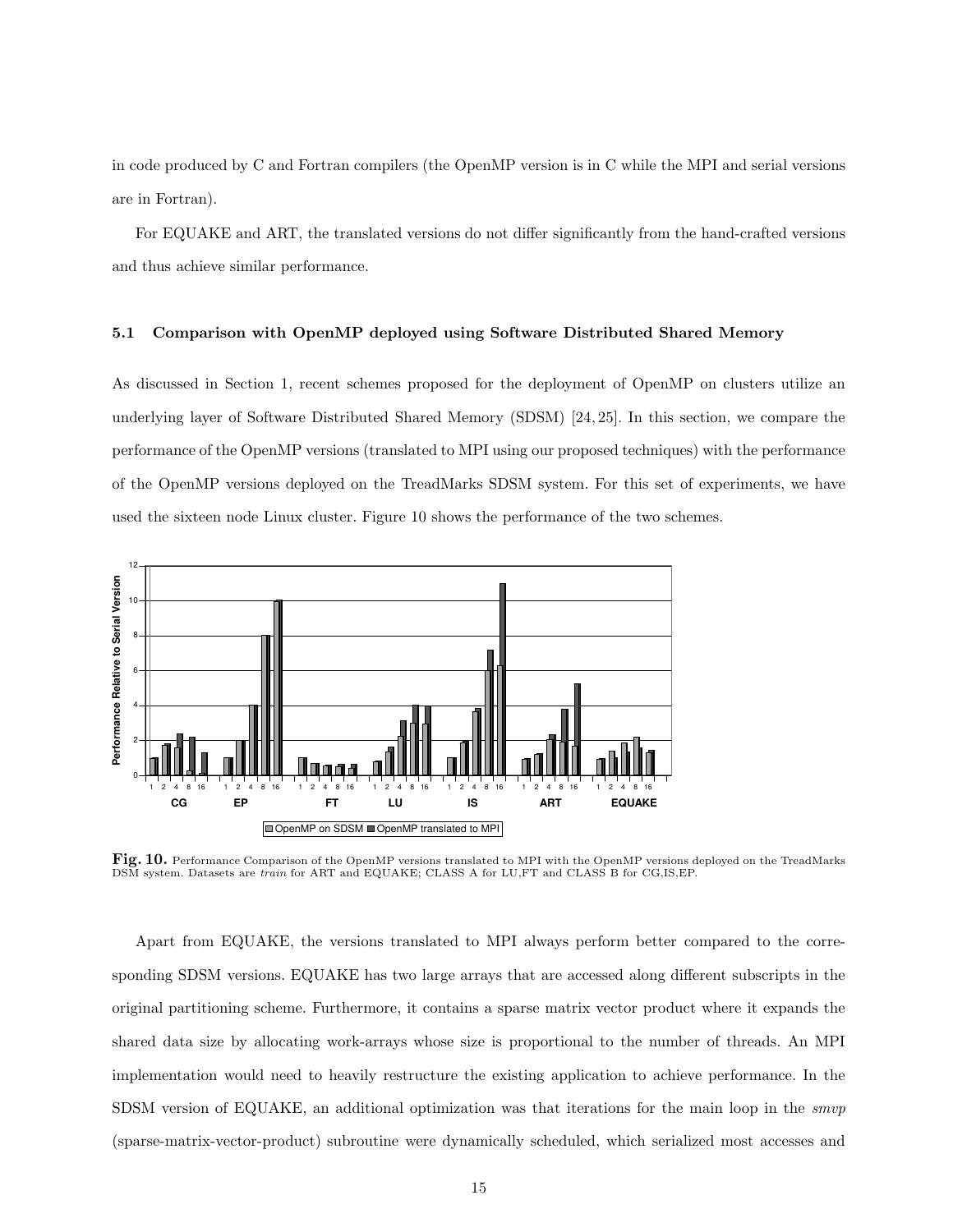in code produced by C and Fortran compilers (the OpenMP version is in C while the MPI and serial versions are in Fortran).

For EQUAKE and ART, the translated versions do not differ significantly from the hand-crafted versions and thus achieve similar performance.

## 5.1 Comparison with OpenMP deployed using Software Distributed Shared Memory

As discussed in Section 1, recent schemes proposed for the deployment of OpenMP on clusters utilize an underlying layer of Software Distributed Shared Memory (SDSM) [24, 25]. In this section, we compare the performance of the OpenMP versions (translated to MPI using our proposed techniques) with the performance of the OpenMP versions deployed on the TreadMarks SDSM system. For this set of experiments, we have used the sixteen node Linux cluster. Figure 10 shows the performance of the two schemes.



Fig. 10. Performance Comparison of the OpenMP versions translated to MPI with the OpenMP versions deployed on the TreadMarks DSM system. Datasets are train for ART and EQUAKE; CLASS A for LU,FT and CLASS B for CG,IS,EP.

Apart from EQUAKE, the versions translated to MPI always perform better compared to the corresponding SDSM versions. EQUAKE has two large arrays that are accessed along different subscripts in the original partitioning scheme. Furthermore, it contains a sparse matrix vector product where it expands the shared data size by allocating work-arrays whose size is proportional to the number of threads. An MPI implementation would need to heavily restructure the existing application to achieve performance. In the SDSM version of EQUAKE, an additional optimization was that iterations for the main loop in the smvp (sparse-matrix-vector-product) subroutine were dynamically scheduled, which serialized most accesses and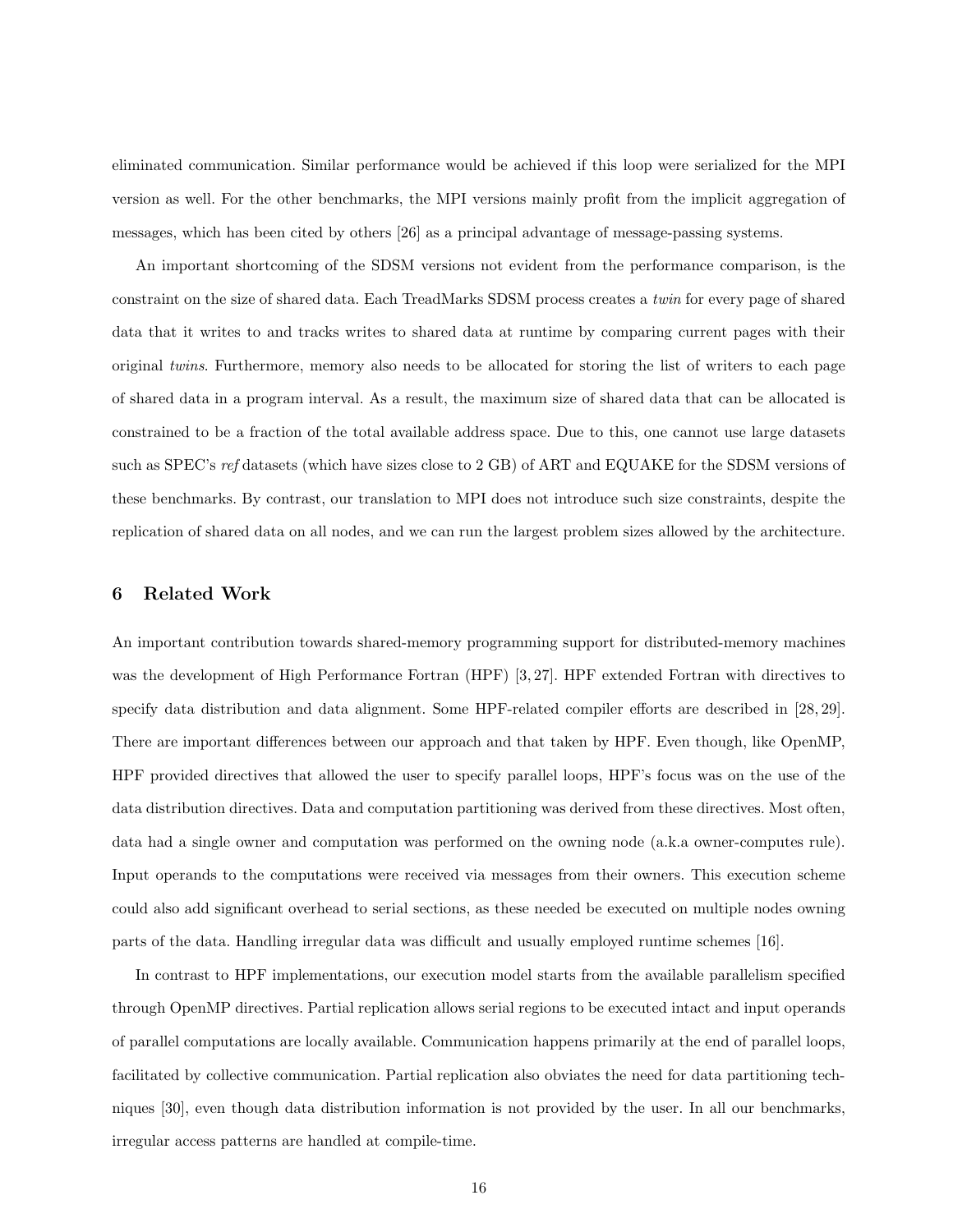eliminated communication. Similar performance would be achieved if this loop were serialized for the MPI version as well. For the other benchmarks, the MPI versions mainly profit from the implicit aggregation of messages, which has been cited by others [26] as a principal advantage of message-passing systems.

An important shortcoming of the SDSM versions not evident from the performance comparison, is the constraint on the size of shared data. Each TreadMarks SDSM process creates a twin for every page of shared data that it writes to and tracks writes to shared data at runtime by comparing current pages with their original twins. Furthermore, memory also needs to be allocated for storing the list of writers to each page of shared data in a program interval. As a result, the maximum size of shared data that can be allocated is constrained to be a fraction of the total available address space. Due to this, one cannot use large datasets such as SPEC's ref datasets (which have sizes close to 2 GB) of ART and EQUAKE for the SDSM versions of these benchmarks. By contrast, our translation to MPI does not introduce such size constraints, despite the replication of shared data on all nodes, and we can run the largest problem sizes allowed by the architecture.

## 6 Related Work

An important contribution towards shared-memory programming support for distributed-memory machines was the development of High Performance Fortran (HPF) [3, 27]. HPF extended Fortran with directives to specify data distribution and data alignment. Some HPF-related compiler efforts are described in [28, 29]. There are important differences between our approach and that taken by HPF. Even though, like OpenMP, HPF provided directives that allowed the user to specify parallel loops, HPF's focus was on the use of the data distribution directives. Data and computation partitioning was derived from these directives. Most often, data had a single owner and computation was performed on the owning node (a.k.a owner-computes rule). Input operands to the computations were received via messages from their owners. This execution scheme could also add significant overhead to serial sections, as these needed be executed on multiple nodes owning parts of the data. Handling irregular data was difficult and usually employed runtime schemes [16].

In contrast to HPF implementations, our execution model starts from the available parallelism specified through OpenMP directives. Partial replication allows serial regions to be executed intact and input operands of parallel computations are locally available. Communication happens primarily at the end of parallel loops, facilitated by collective communication. Partial replication also obviates the need for data partitioning techniques [30], even though data distribution information is not provided by the user. In all our benchmarks, irregular access patterns are handled at compile-time.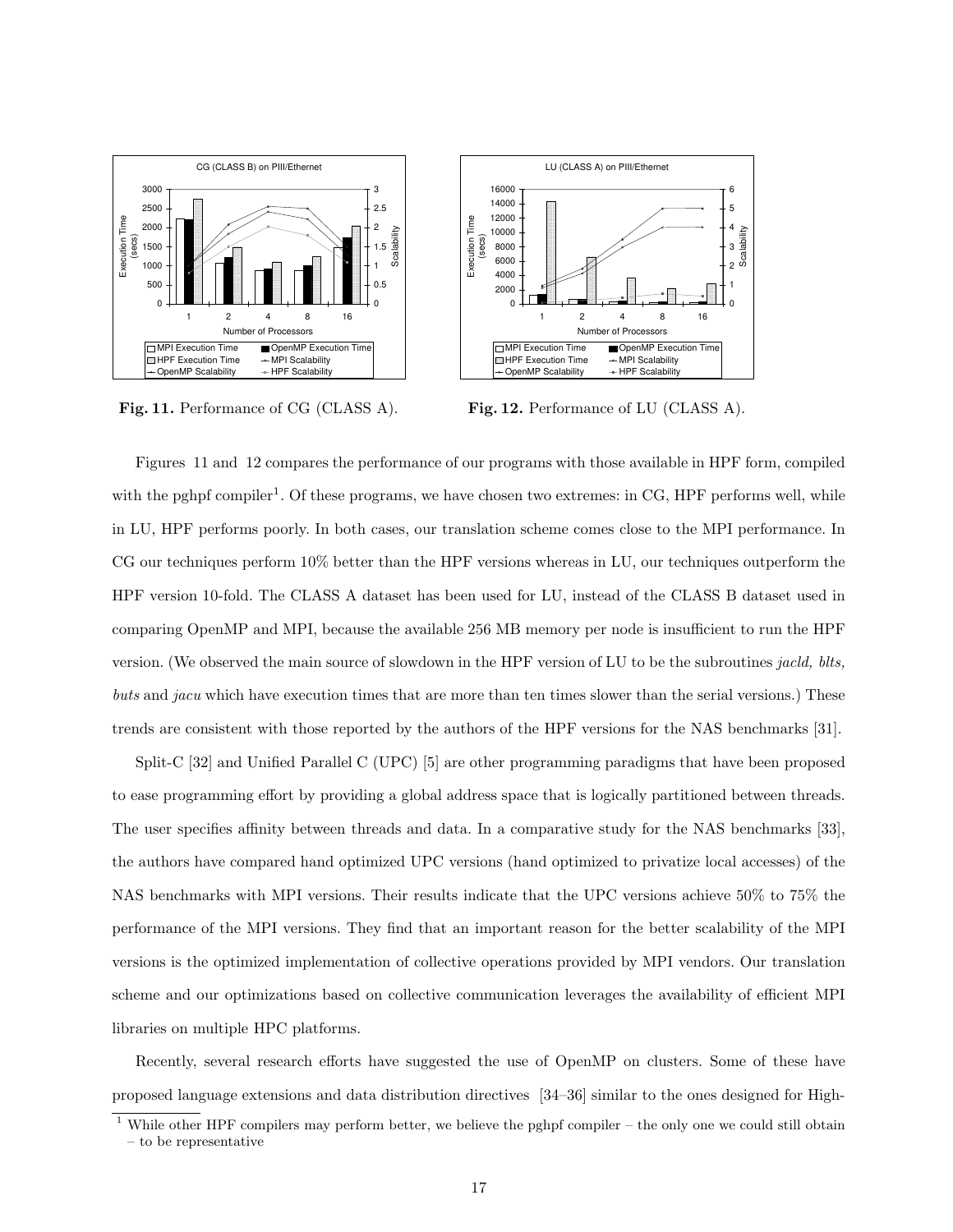

Fig. 11. Performance of CG (CLASS A).



Fig. 12. Performance of LU (CLASS A).

Figures 11 and 12 compares the performance of our programs with those available in HPF form, compiled with the pghpf compiler<sup>1</sup>. Of these programs, we have chosen two extremes: in CG, HPF performs well, while in LU, HPF performs poorly. In both cases, our translation scheme comes close to the MPI performance. In CG our techniques perform 10% better than the HPF versions whereas in LU, our techniques outperform the HPF version 10-fold. The CLASS A dataset has been used for LU, instead of the CLASS B dataset used in comparing OpenMP and MPI, because the available 256 MB memory per node is insufficient to run the HPF version. (We observed the main source of slowdown in the HPF version of LU to be the subroutines jacld, blts, buts and jacu which have execution times that are more than ten times slower than the serial versions.) These trends are consistent with those reported by the authors of the HPF versions for the NAS benchmarks [31].

Split-C [32] and Unified Parallel C (UPC) [5] are other programming paradigms that have been proposed to ease programming effort by providing a global address space that is logically partitioned between threads. The user specifies affinity between threads and data. In a comparative study for the NAS benchmarks [33], the authors have compared hand optimized UPC versions (hand optimized to privatize local accesses) of the NAS benchmarks with MPI versions. Their results indicate that the UPC versions achieve 50% to 75% the performance of the MPI versions. They find that an important reason for the better scalability of the MPI versions is the optimized implementation of collective operations provided by MPI vendors. Our translation scheme and our optimizations based on collective communication leverages the availability of efficient MPI libraries on multiple HPC platforms.

Recently, several research efforts have suggested the use of OpenMP on clusters. Some of these have proposed language extensions and data distribution directives [34–36] similar to the ones designed for High-

 $1$  While other HPF compilers may perform better, we believe the pghpf compiler – the only one we could still obtain – to be representative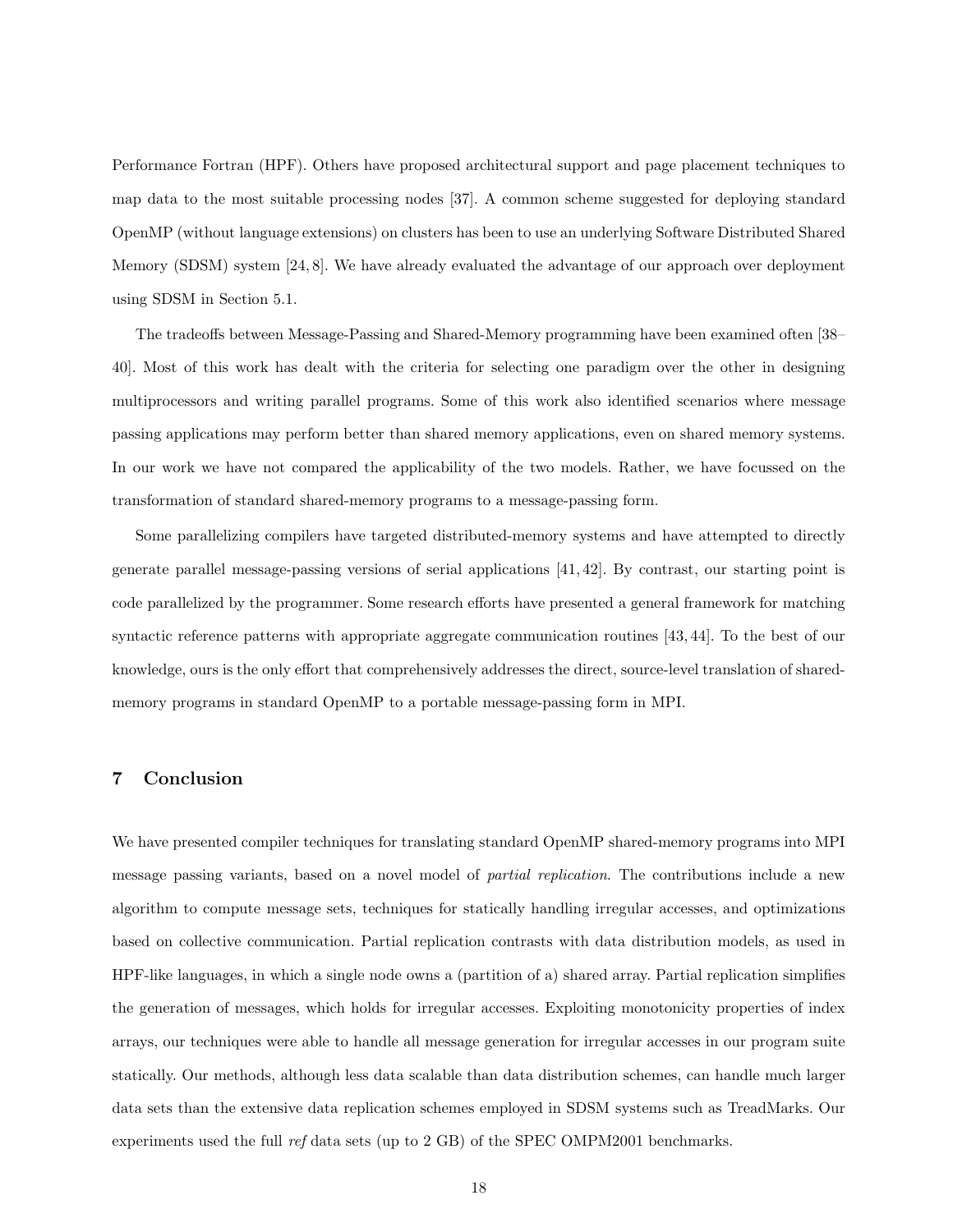Performance Fortran (HPF). Others have proposed architectural support and page placement techniques to map data to the most suitable processing nodes [37]. A common scheme suggested for deploying standard OpenMP (without language extensions) on clusters has been to use an underlying Software Distributed Shared Memory (SDSM) system [24, 8]. We have already evaluated the advantage of our approach over deployment using SDSM in Section 5.1.

The tradeoffs between Message-Passing and Shared-Memory programming have been examined often [38– 40]. Most of this work has dealt with the criteria for selecting one paradigm over the other in designing multiprocessors and writing parallel programs. Some of this work also identified scenarios where message passing applications may perform better than shared memory applications, even on shared memory systems. In our work we have not compared the applicability of the two models. Rather, we have focussed on the transformation of standard shared-memory programs to a message-passing form.

Some parallelizing compilers have targeted distributed-memory systems and have attempted to directly generate parallel message-passing versions of serial applications [41, 42]. By contrast, our starting point is code parallelized by the programmer. Some research efforts have presented a general framework for matching syntactic reference patterns with appropriate aggregate communication routines [43, 44]. To the best of our knowledge, ours is the only effort that comprehensively addresses the direct, source-level translation of sharedmemory programs in standard OpenMP to a portable message-passing form in MPI.

## 7 Conclusion

We have presented compiler techniques for translating standard OpenMP shared-memory programs into MPI message passing variants, based on a novel model of partial replication. The contributions include a new algorithm to compute message sets, techniques for statically handling irregular accesses, and optimizations based on collective communication. Partial replication contrasts with data distribution models, as used in HPF-like languages, in which a single node owns a (partition of a) shared array. Partial replication simplifies the generation of messages, which holds for irregular accesses. Exploiting monotonicity properties of index arrays, our techniques were able to handle all message generation for irregular accesses in our program suite statically. Our methods, although less data scalable than data distribution schemes, can handle much larger data sets than the extensive data replication schemes employed in SDSM systems such as TreadMarks. Our experiments used the full ref data sets (up to 2 GB) of the SPEC OMPM2001 benchmarks.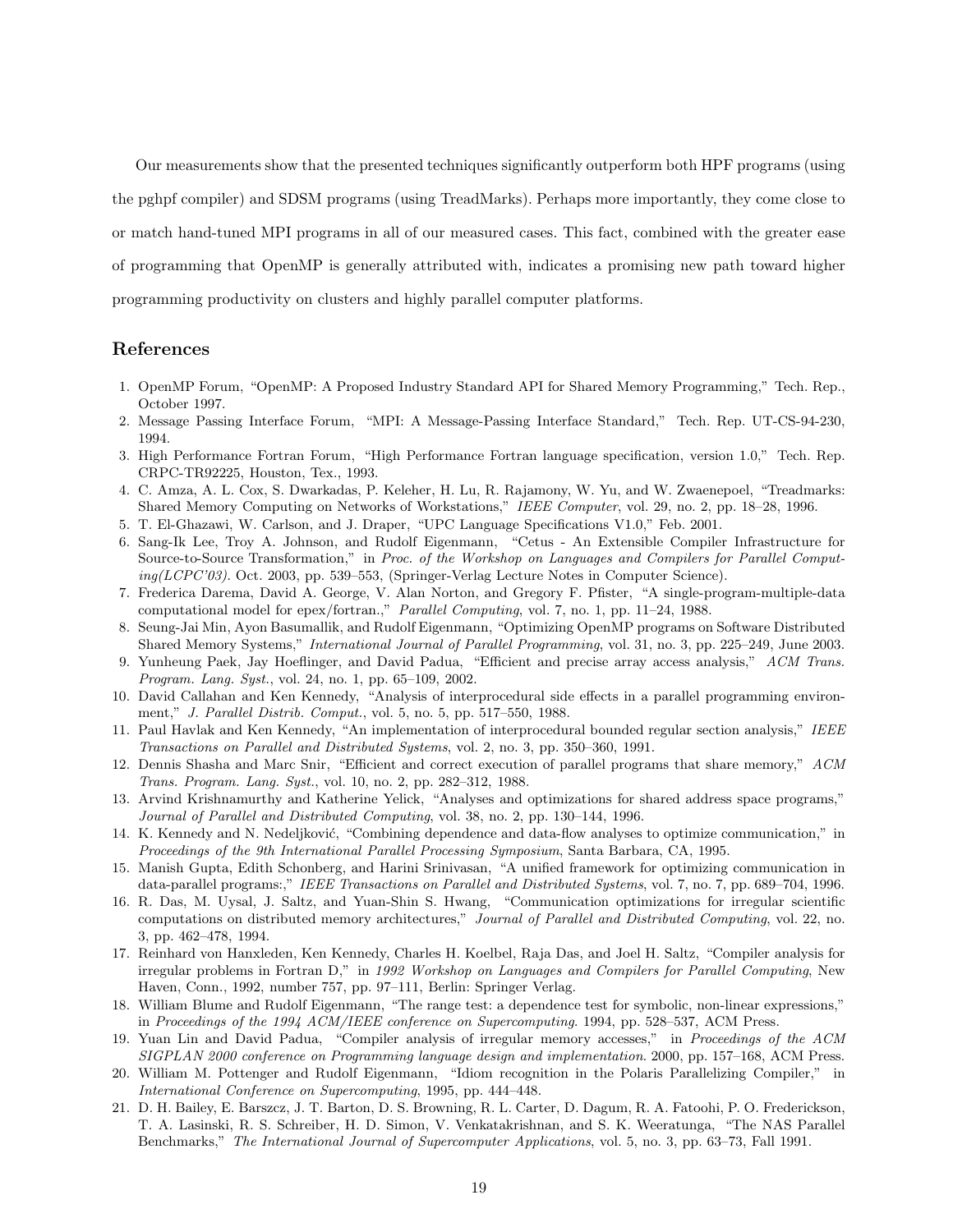Our measurements show that the presented techniques significantly outperform both HPF programs (using the pghpf compiler) and SDSM programs (using TreadMarks). Perhaps more importantly, they come close to or match hand-tuned MPI programs in all of our measured cases. This fact, combined with the greater ease of programming that OpenMP is generally attributed with, indicates a promising new path toward higher programming productivity on clusters and highly parallel computer platforms.

### References

- 1. OpenMP Forum, "OpenMP: A Proposed Industry Standard API for Shared Memory Programming," Tech. Rep., October 1997.
- 2. Message Passing Interface Forum, "MPI: A Message-Passing Interface Standard," Tech. Rep. UT-CS-94-230, 1994.
- 3. High Performance Fortran Forum, "High Performance Fortran language specification, version 1.0," Tech. Rep. CRPC-TR92225, Houston, Tex., 1993.
- 4. C. Amza, A. L. Cox, S. Dwarkadas, P. Keleher, H. Lu, R. Rajamony, W. Yu, and W. Zwaenepoel, "Treadmarks: Shared Memory Computing on Networks of Workstations," IEEE Computer, vol. 29, no. 2, pp. 18–28, 1996.
- 5. T. El-Ghazawi, W. Carlson, and J. Draper, "UPC Language Specifications V1.0," Feb. 2001.
- 6. Sang-Ik Lee, Troy A. Johnson, and Rudolf Eigenmann, "Cetus An Extensible Compiler Infrastructure for Source-to-Source Transformation," in Proc. of the Workshop on Languages and Compilers for Parallel Computing(LCPC'03). Oct. 2003, pp. 539–553, (Springer-Verlag Lecture Notes in Computer Science).
- 7. Frederica Darema, David A. George, V. Alan Norton, and Gregory F. Pfister, "A single-program-multiple-data computational model for epex/fortran.," Parallel Computing, vol. 7, no. 1, pp. 11–24, 1988.
- 8. Seung-Jai Min, Ayon Basumallik, and Rudolf Eigenmann, "Optimizing OpenMP programs on Software Distributed Shared Memory Systems," International Journal of Parallel Programming, vol. 31, no. 3, pp. 225–249, June 2003.
- 9. Yunheung Paek, Jay Hoeflinger, and David Padua, "Efficient and precise array access analysis," ACM Trans. Program. Lang. Syst., vol. 24, no. 1, pp. 65–109, 2002.
- 10. David Callahan and Ken Kennedy, "Analysis of interprocedural side effects in a parallel programming environment," J. Parallel Distrib. Comput., vol. 5, no. 5, pp. 517–550, 1988.
- 11. Paul Havlak and Ken Kennedy, "An implementation of interprocedural bounded regular section analysis," IEEE Transactions on Parallel and Distributed Systems, vol. 2, no. 3, pp. 350–360, 1991.
- 12. Dennis Shasha and Marc Snir, "Efficient and correct execution of parallel programs that share memory," ACM Trans. Program. Lang. Syst., vol. 10, no. 2, pp. 282–312, 1988.
- 13. Arvind Krishnamurthy and Katherine Yelick, "Analyses and optimizations for shared address space programs," Journal of Parallel and Distributed Computing, vol. 38, no. 2, pp. 130–144, 1996.
- 14. K. Kennedy and N. Nedeljković, "Combining dependence and data-flow analyses to optimize communication," in Proceedings of the 9th International Parallel Processing Symposium, Santa Barbara, CA, 1995.
- 15. Manish Gupta, Edith Schonberg, and Harini Srinivasan, "A unified framework for optimizing communication in data-parallel programs:," IEEE Transactions on Parallel and Distributed Systems, vol. 7, no. 7, pp. 689–704, 1996.
- 16. R. Das, M. Uysal, J. Saltz, and Yuan-Shin S. Hwang, "Communication optimizations for irregular scientific computations on distributed memory architectures," Journal of Parallel and Distributed Computing, vol. 22, no. 3, pp. 462–478, 1994.
- 17. Reinhard von Hanxleden, Ken Kennedy, Charles H. Koelbel, Raja Das, and Joel H. Saltz, "Compiler analysis for irregular problems in Fortran D," in 1992 Workshop on Languages and Compilers for Parallel Computing, New Haven, Conn., 1992, number 757, pp. 97–111, Berlin: Springer Verlag.
- 18. William Blume and Rudolf Eigenmann, "The range test: a dependence test for symbolic, non-linear expressions," in Proceedings of the 1994 ACM/IEEE conference on Supercomputing. 1994, pp. 528–537, ACM Press.
- 19. Yuan Lin and David Padua, "Compiler analysis of irregular memory accesses," in Proceedings of the ACM SIGPLAN 2000 conference on Programming language design and implementation. 2000, pp. 157–168, ACM Press.
- 20. William M. Pottenger and Rudolf Eigenmann, "Idiom recognition in the Polaris Parallelizing Compiler," in International Conference on Supercomputing, 1995, pp. 444–448.
- 21. D. H. Bailey, E. Barszcz, J. T. Barton, D. S. Browning, R. L. Carter, D. Dagum, R. A. Fatoohi, P. O. Frederickson, T. A. Lasinski, R. S. Schreiber, H. D. Simon, V. Venkatakrishnan, and S. K. Weeratunga, "The NAS Parallel Benchmarks," The International Journal of Supercomputer Applications, vol. 5, no. 3, pp. 63–73, Fall 1991.